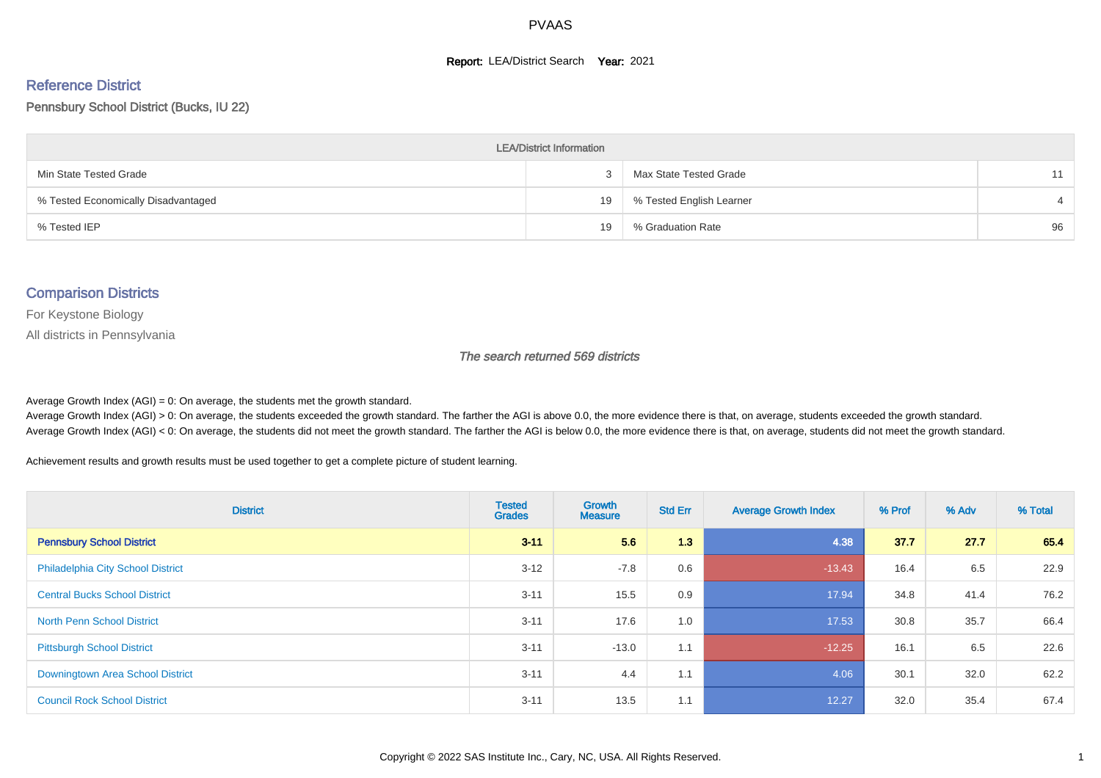#### **Report: LEA/District Search Year: 2021**

#### Reference District

#### Pennsbury School District (Bucks, IU 22)

| <b>LEA/District Information</b>     |    |                          |    |  |  |  |  |  |  |  |
|-------------------------------------|----|--------------------------|----|--|--|--|--|--|--|--|
| Min State Tested Grade              |    | Max State Tested Grade   |    |  |  |  |  |  |  |  |
| % Tested Economically Disadvantaged | 19 | % Tested English Learner |    |  |  |  |  |  |  |  |
| % Tested IEP                        | 19 | % Graduation Rate        | 96 |  |  |  |  |  |  |  |

#### Comparison Districts

For Keystone Biology

All districts in Pennsylvania

The search returned 569 districts

Average Growth Index  $(AGI) = 0$ : On average, the students met the growth standard.

Average Growth Index (AGI) > 0: On average, the students exceeded the growth standard. The farther the AGI is above 0.0, the more evidence there is that, on average, students exceeded the growth standard. Average Growth Index (AGI) < 0: On average, the students did not meet the growth standard. The farther the AGI is below 0.0, the more evidence there is that, on average, students did not meet the growth standard.

Achievement results and growth results must be used together to get a complete picture of student learning.

| <b>District</b>                          | <b>Tested</b><br><b>Grades</b> | Growth<br><b>Measure</b> | <b>Std Err</b> | <b>Average Growth Index</b> | % Prof | % Adv | % Total |
|------------------------------------------|--------------------------------|--------------------------|----------------|-----------------------------|--------|-------|---------|
| <b>Pennsbury School District</b>         | $3 - 11$                       | 5.6                      | 1.3            | 4.38                        | 37.7   | 27.7  | 65.4    |
| <b>Philadelphia City School District</b> | $3 - 12$                       | $-7.8$                   | 0.6            | $-13.43$                    | 16.4   | 6.5   | 22.9    |
| <b>Central Bucks School District</b>     | $3 - 11$                       | 15.5                     | 0.9            | 17.94                       | 34.8   | 41.4  | 76.2    |
| <b>North Penn School District</b>        | $3 - 11$                       | 17.6                     | 1.0            | 17.53                       | 30.8   | 35.7  | 66.4    |
| <b>Pittsburgh School District</b>        | $3 - 11$                       | $-13.0$                  | 1.1            | $-12.25$                    | 16.1   | 6.5   | 22.6    |
| Downingtown Area School District         | $3 - 11$                       | 4.4                      | 1.1            | 4.06                        | 30.1   | 32.0  | 62.2    |
| <b>Council Rock School District</b>      | $3 - 11$                       | 13.5                     | 1.1            | 12.27                       | 32.0   | 35.4  | 67.4    |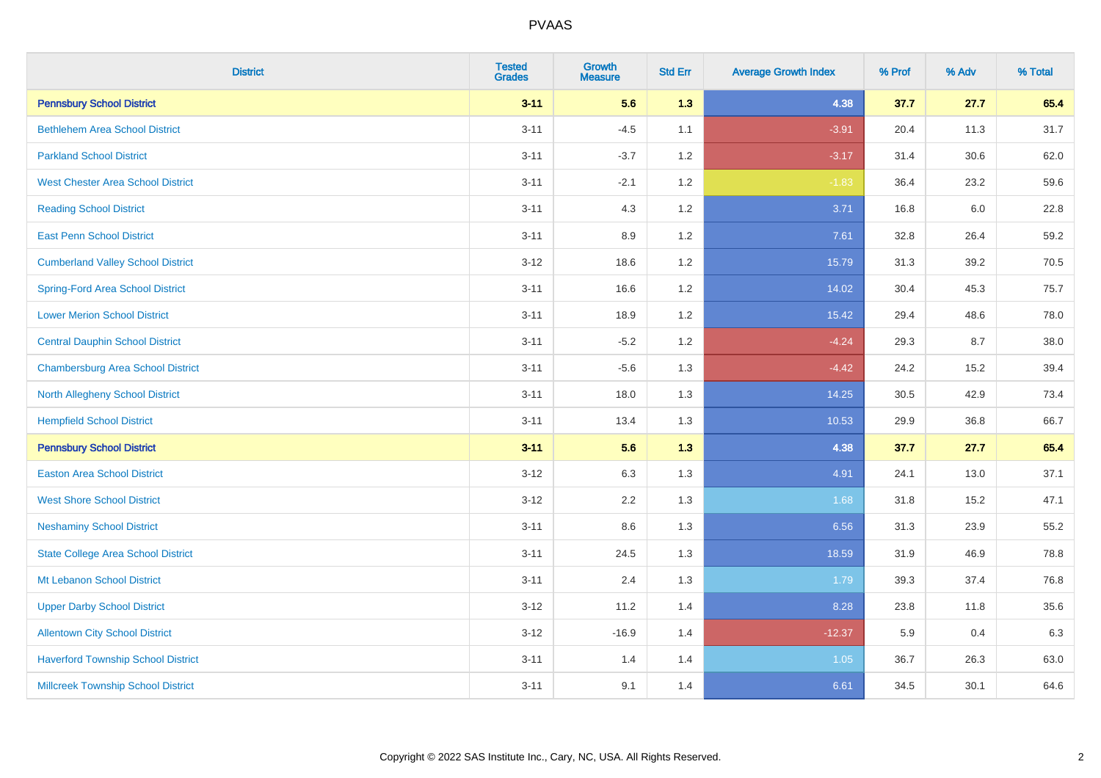| <b>District</b>                           | <b>Tested</b><br><b>Grades</b> | <b>Growth</b><br><b>Measure</b> | <b>Std Err</b> | <b>Average Growth Index</b> | % Prof | % Adv | % Total |
|-------------------------------------------|--------------------------------|---------------------------------|----------------|-----------------------------|--------|-------|---------|
| <b>Pennsbury School District</b>          | $3 - 11$                       | 5.6                             | 1.3            | 4.38                        | 37.7   | 27.7  | 65.4    |
| <b>Bethlehem Area School District</b>     | $3 - 11$                       | $-4.5$                          | 1.1            | $-3.91$                     | 20.4   | 11.3  | 31.7    |
| <b>Parkland School District</b>           | $3 - 11$                       | $-3.7$                          | 1.2            | $-3.17$                     | 31.4   | 30.6  | 62.0    |
| <b>West Chester Area School District</b>  | $3 - 11$                       | $-2.1$                          | 1.2            | $-1.83$                     | 36.4   | 23.2  | 59.6    |
| <b>Reading School District</b>            | $3 - 11$                       | 4.3                             | 1.2            | 3.71                        | 16.8   | 6.0   | 22.8    |
| <b>East Penn School District</b>          | $3 - 11$                       | 8.9                             | 1.2            | 7.61                        | 32.8   | 26.4  | 59.2    |
| <b>Cumberland Valley School District</b>  | $3 - 12$                       | 18.6                            | 1.2            | 15.79                       | 31.3   | 39.2  | 70.5    |
| <b>Spring-Ford Area School District</b>   | $3 - 11$                       | 16.6                            | 1.2            | 14.02                       | 30.4   | 45.3  | 75.7    |
| <b>Lower Merion School District</b>       | $3 - 11$                       | 18.9                            | 1.2            | 15.42                       | 29.4   | 48.6  | 78.0    |
| <b>Central Dauphin School District</b>    | $3 - 11$                       | $-5.2$                          | 1.2            | $-4.24$                     | 29.3   | 8.7   | 38.0    |
| <b>Chambersburg Area School District</b>  | $3 - 11$                       | $-5.6$                          | 1.3            | $-4.42$                     | 24.2   | 15.2  | 39.4    |
| North Allegheny School District           | $3 - 11$                       | 18.0                            | 1.3            | 14.25                       | 30.5   | 42.9  | 73.4    |
| <b>Hempfield School District</b>          | $3 - 11$                       | 13.4                            | 1.3            | 10.53                       | 29.9   | 36.8  | 66.7    |
| <b>Pennsbury School District</b>          | $3 - 11$                       | 5.6                             | 1.3            | 4.38                        | 37.7   | 27.7  | 65.4    |
| <b>Easton Area School District</b>        | $3-12$                         | 6.3                             | 1.3            | 4.91                        | 24.1   | 13.0  | 37.1    |
| <b>West Shore School District</b>         | $3 - 12$                       | 2.2                             | 1.3            | 1.68                        | 31.8   | 15.2  | 47.1    |
| <b>Neshaminy School District</b>          | $3 - 11$                       | 8.6                             | 1.3            | 6.56                        | 31.3   | 23.9  | 55.2    |
| <b>State College Area School District</b> | $3 - 11$                       | 24.5                            | 1.3            | 18.59                       | 31.9   | 46.9  | 78.8    |
| Mt Lebanon School District                | $3 - 11$                       | 2.4                             | 1.3            | 1.79                        | 39.3   | 37.4  | 76.8    |
| <b>Upper Darby School District</b>        | $3-12$                         | 11.2                            | 1.4            | 8.28                        | 23.8   | 11.8  | 35.6    |
| <b>Allentown City School District</b>     | $3-12$                         | $-16.9$                         | 1.4            | $-12.37$                    | 5.9    | 0.4   | 6.3     |
| <b>Haverford Township School District</b> | $3 - 11$                       | 1.4                             | 1.4            | 1.05                        | 36.7   | 26.3  | 63.0    |
| <b>Millcreek Township School District</b> | $3 - 11$                       | 9.1                             | 1.4            | 6.61                        | 34.5   | 30.1  | 64.6    |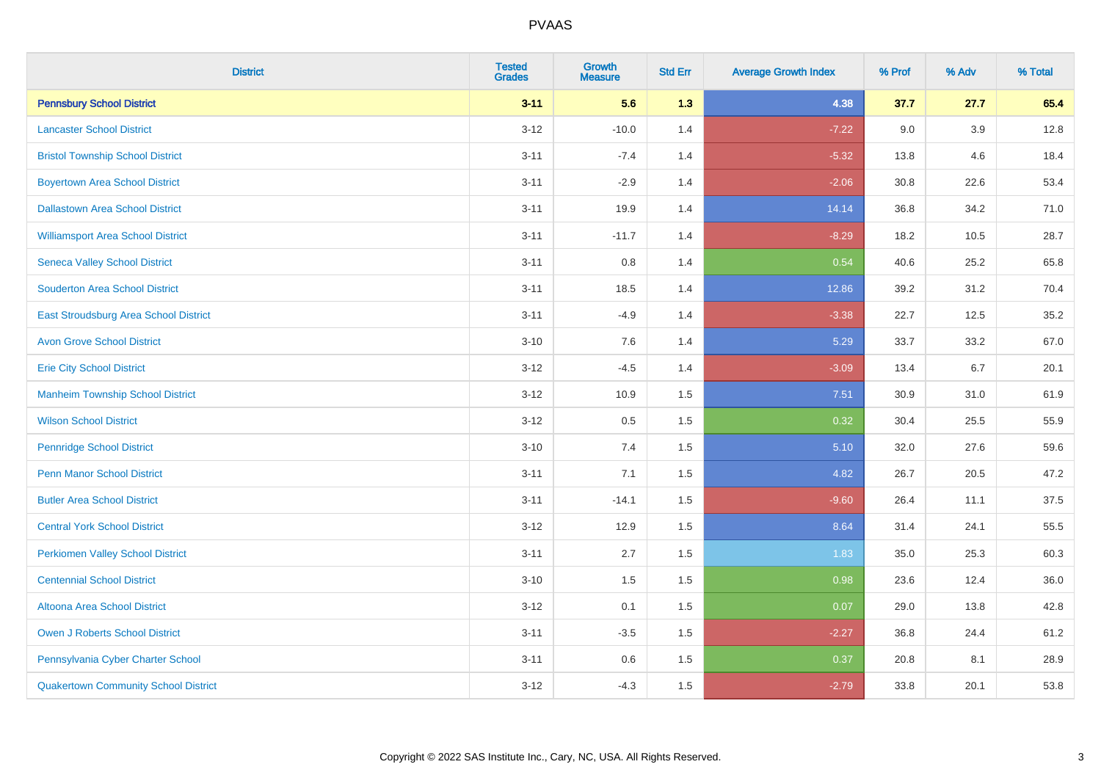| <b>District</b>                              | <b>Tested</b><br><b>Grades</b> | <b>Growth</b><br><b>Measure</b> | <b>Std Err</b> | <b>Average Growth Index</b> | % Prof | % Adv | % Total |
|----------------------------------------------|--------------------------------|---------------------------------|----------------|-----------------------------|--------|-------|---------|
| <b>Pennsbury School District</b>             | $3 - 11$                       | 5.6                             | 1.3            | 4.38                        | 37.7   | 27.7  | 65.4    |
| <b>Lancaster School District</b>             | $3 - 12$                       | $-10.0$                         | 1.4            | $-7.22$                     | 9.0    | 3.9   | 12.8    |
| <b>Bristol Township School District</b>      | $3 - 11$                       | $-7.4$                          | 1.4            | $-5.32$                     | 13.8   | 4.6   | 18.4    |
| <b>Boyertown Area School District</b>        | $3 - 11$                       | $-2.9$                          | 1.4            | $-2.06$                     | 30.8   | 22.6  | 53.4    |
| <b>Dallastown Area School District</b>       | $3 - 11$                       | 19.9                            | 1.4            | 14.14                       | 36.8   | 34.2  | 71.0    |
| <b>Williamsport Area School District</b>     | $3 - 11$                       | $-11.7$                         | 1.4            | $-8.29$                     | 18.2   | 10.5  | 28.7    |
| <b>Seneca Valley School District</b>         | $3 - 11$                       | $0.8\,$                         | 1.4            | 0.54                        | 40.6   | 25.2  | 65.8    |
| <b>Souderton Area School District</b>        | $3 - 11$                       | 18.5                            | 1.4            | 12.86                       | 39.2   | 31.2  | 70.4    |
| <b>East Stroudsburg Area School District</b> | $3 - 11$                       | $-4.9$                          | 1.4            | $-3.38$                     | 22.7   | 12.5  | 35.2    |
| <b>Avon Grove School District</b>            | $3 - 10$                       | $7.6\,$                         | 1.4            | 5.29                        | 33.7   | 33.2  | 67.0    |
| <b>Erie City School District</b>             | $3 - 12$                       | $-4.5$                          | 1.4            | $-3.09$                     | 13.4   | 6.7   | 20.1    |
| <b>Manheim Township School District</b>      | $3 - 12$                       | 10.9                            | 1.5            | 7.51                        | 30.9   | 31.0  | 61.9    |
| <b>Wilson School District</b>                | $3 - 12$                       | $0.5\,$                         | 1.5            | 0.32                        | 30.4   | 25.5  | 55.9    |
| <b>Pennridge School District</b>             | $3 - 10$                       | 7.4                             | 1.5            | 5.10                        | 32.0   | 27.6  | 59.6    |
| <b>Penn Manor School District</b>            | $3 - 11$                       | 7.1                             | 1.5            | 4.82                        | 26.7   | 20.5  | 47.2    |
| <b>Butler Area School District</b>           | $3 - 11$                       | $-14.1$                         | 1.5            | $-9.60$                     | 26.4   | 11.1  | 37.5    |
| <b>Central York School District</b>          | $3 - 12$                       | 12.9                            | 1.5            | 8.64                        | 31.4   | 24.1  | 55.5    |
| <b>Perkiomen Valley School District</b>      | $3 - 11$                       | 2.7                             | 1.5            | 1.83                        | 35.0   | 25.3  | 60.3    |
| <b>Centennial School District</b>            | $3 - 10$                       | 1.5                             | 1.5            | 0.98                        | 23.6   | 12.4  | 36.0    |
| <b>Altoona Area School District</b>          | $3 - 12$                       | 0.1                             | 1.5            | 0.07                        | 29.0   | 13.8  | 42.8    |
| <b>Owen J Roberts School District</b>        | $3 - 11$                       | $-3.5$                          | 1.5            | $-2.27$                     | 36.8   | 24.4  | 61.2    |
| Pennsylvania Cyber Charter School            | $3 - 11$                       | 0.6                             | 1.5            | 0.37                        | 20.8   | 8.1   | 28.9    |
| <b>Quakertown Community School District</b>  | $3 - 12$                       | $-4.3$                          | 1.5            | $-2.79$                     | 33.8   | 20.1  | 53.8    |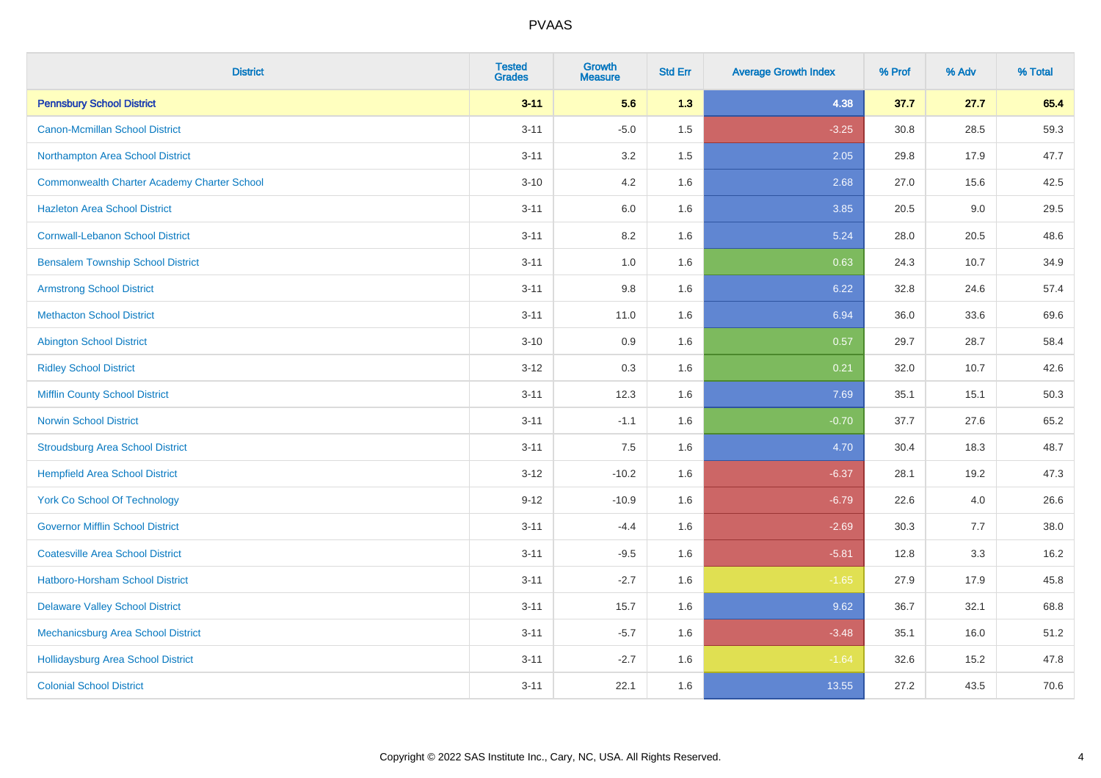| <b>District</b>                                    | <b>Tested</b><br><b>Grades</b> | <b>Growth</b><br><b>Measure</b> | <b>Std Err</b> | <b>Average Growth Index</b> | % Prof | % Adv | % Total |
|----------------------------------------------------|--------------------------------|---------------------------------|----------------|-----------------------------|--------|-------|---------|
| <b>Pennsbury School District</b>                   | $3 - 11$                       | 5.6                             | 1.3            | 4.38                        | 37.7   | 27.7  | 65.4    |
| <b>Canon-Mcmillan School District</b>              | $3 - 11$                       | $-5.0$                          | 1.5            | $-3.25$                     | 30.8   | 28.5  | 59.3    |
| Northampton Area School District                   | $3 - 11$                       | 3.2                             | 1.5            | 2.05                        | 29.8   | 17.9  | 47.7    |
| <b>Commonwealth Charter Academy Charter School</b> | $3 - 10$                       | 4.2                             | 1.6            | 2.68                        | 27.0   | 15.6  | 42.5    |
| <b>Hazleton Area School District</b>               | $3 - 11$                       | 6.0                             | 1.6            | 3.85                        | 20.5   | 9.0   | 29.5    |
| <b>Cornwall-Lebanon School District</b>            | $3 - 11$                       | 8.2                             | 1.6            | 5.24                        | 28.0   | 20.5  | 48.6    |
| <b>Bensalem Township School District</b>           | $3 - 11$                       | 1.0                             | 1.6            | 0.63                        | 24.3   | 10.7  | 34.9    |
| <b>Armstrong School District</b>                   | $3 - 11$                       | $9.8\,$                         | 1.6            | 6.22                        | 32.8   | 24.6  | 57.4    |
| <b>Methacton School District</b>                   | $3 - 11$                       | 11.0                            | 1.6            | 6.94                        | 36.0   | 33.6  | 69.6    |
| <b>Abington School District</b>                    | $3 - 10$                       | 0.9                             | 1.6            | 0.57                        | 29.7   | 28.7  | 58.4    |
| <b>Ridley School District</b>                      | $3 - 12$                       | 0.3                             | 1.6            | 0.21                        | 32.0   | 10.7  | 42.6    |
| <b>Mifflin County School District</b>              | $3 - 11$                       | 12.3                            | 1.6            | 7.69                        | 35.1   | 15.1  | 50.3    |
| <b>Norwin School District</b>                      | $3 - 11$                       | $-1.1$                          | 1.6            | $-0.70$                     | 37.7   | 27.6  | 65.2    |
| <b>Stroudsburg Area School District</b>            | $3 - 11$                       | 7.5                             | 1.6            | 4.70                        | 30.4   | 18.3  | 48.7    |
| <b>Hempfield Area School District</b>              | $3 - 12$                       | $-10.2$                         | 1.6            | $-6.37$                     | 28.1   | 19.2  | 47.3    |
| <b>York Co School Of Technology</b>                | $9 - 12$                       | $-10.9$                         | 1.6            | $-6.79$                     | 22.6   | 4.0   | 26.6    |
| <b>Governor Mifflin School District</b>            | $3 - 11$                       | $-4.4$                          | 1.6            | $-2.69$                     | 30.3   | 7.7   | 38.0    |
| <b>Coatesville Area School District</b>            | $3 - 11$                       | $-9.5$                          | 1.6            | $-5.81$                     | 12.8   | 3.3   | 16.2    |
| <b>Hatboro-Horsham School District</b>             | $3 - 11$                       | $-2.7$                          | 1.6            | $-1.65$                     | 27.9   | 17.9  | 45.8    |
| <b>Delaware Valley School District</b>             | $3 - 11$                       | 15.7                            | 1.6            | 9.62                        | 36.7   | 32.1  | 68.8    |
| Mechanicsburg Area School District                 | $3 - 11$                       | $-5.7$                          | 1.6            | $-3.48$                     | 35.1   | 16.0  | 51.2    |
| <b>Hollidaysburg Area School District</b>          | $3 - 11$                       | $-2.7$                          | 1.6            | $-1.64$                     | 32.6   | 15.2  | 47.8    |
| <b>Colonial School District</b>                    | $3 - 11$                       | 22.1                            | 1.6            | 13.55                       | 27.2   | 43.5  | 70.6    |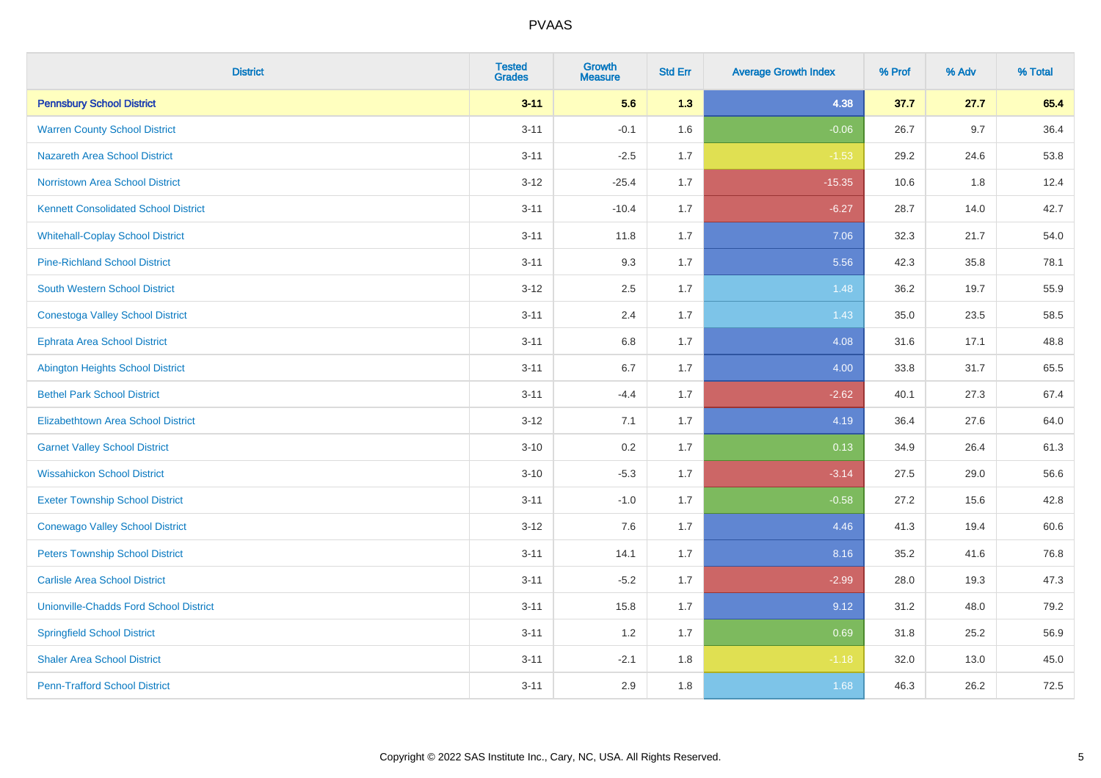| <b>District</b>                               | <b>Tested</b><br><b>Grades</b> | <b>Growth</b><br><b>Measure</b> | <b>Std Err</b> | <b>Average Growth Index</b> | % Prof | % Adv   | % Total |
|-----------------------------------------------|--------------------------------|---------------------------------|----------------|-----------------------------|--------|---------|---------|
| <b>Pennsbury School District</b>              | $3 - 11$                       | 5.6                             | 1.3            | 4.38                        | 37.7   | 27.7    | 65.4    |
| <b>Warren County School District</b>          | $3 - 11$                       | $-0.1$                          | 1.6            | $-0.06$                     | 26.7   | 9.7     | 36.4    |
| <b>Nazareth Area School District</b>          | $3 - 11$                       | $-2.5$                          | 1.7            | $-1.53$                     | 29.2   | 24.6    | 53.8    |
| Norristown Area School District               | $3 - 12$                       | $-25.4$                         | 1.7            | $-15.35$                    | 10.6   | $1.8\,$ | 12.4    |
| <b>Kennett Consolidated School District</b>   | $3 - 11$                       | $-10.4$                         | 1.7            | $-6.27$                     | 28.7   | 14.0    | 42.7    |
| <b>Whitehall-Coplay School District</b>       | $3 - 11$                       | 11.8                            | 1.7            | 7.06                        | 32.3   | 21.7    | 54.0    |
| <b>Pine-Richland School District</b>          | $3 - 11$                       | 9.3                             | 1.7            | 5.56                        | 42.3   | 35.8    | 78.1    |
| <b>South Western School District</b>          | $3 - 12$                       | 2.5                             | 1.7            | 1.48                        | 36.2   | 19.7    | 55.9    |
| <b>Conestoga Valley School District</b>       | $3 - 11$                       | 2.4                             | 1.7            | 1.43                        | 35.0   | 23.5    | 58.5    |
| <b>Ephrata Area School District</b>           | $3 - 11$                       | $6.8\,$                         | 1.7            | 4.08                        | 31.6   | 17.1    | 48.8    |
| <b>Abington Heights School District</b>       | $3 - 11$                       | 6.7                             | 1.7            | 4.00                        | 33.8   | 31.7    | 65.5    |
| <b>Bethel Park School District</b>            | $3 - 11$                       | $-4.4$                          | 1.7            | $-2.62$                     | 40.1   | 27.3    | 67.4    |
| Elizabethtown Area School District            | $3 - 12$                       | 7.1                             | 1.7            | 4.19                        | 36.4   | 27.6    | 64.0    |
| <b>Garnet Valley School District</b>          | $3 - 10$                       | 0.2                             | 1.7            | 0.13                        | 34.9   | 26.4    | 61.3    |
| <b>Wissahickon School District</b>            | $3 - 10$                       | $-5.3$                          | 1.7            | $-3.14$                     | 27.5   | 29.0    | 56.6    |
| <b>Exeter Township School District</b>        | $3 - 11$                       | $-1.0$                          | 1.7            | $-0.58$                     | 27.2   | 15.6    | 42.8    |
| <b>Conewago Valley School District</b>        | $3 - 12$                       | 7.6                             | 1.7            | 4.46                        | 41.3   | 19.4    | 60.6    |
| <b>Peters Township School District</b>        | $3 - 11$                       | 14.1                            | 1.7            | 8.16                        | 35.2   | 41.6    | 76.8    |
| <b>Carlisle Area School District</b>          | $3 - 11$                       | $-5.2$                          | 1.7            | $-2.99$                     | 28.0   | 19.3    | 47.3    |
| <b>Unionville-Chadds Ford School District</b> | $3 - 11$                       | 15.8                            | 1.7            | 9.12                        | 31.2   | 48.0    | 79.2    |
| <b>Springfield School District</b>            | $3 - 11$                       | 1.2                             | 1.7            | 0.69                        | 31.8   | 25.2    | 56.9    |
| <b>Shaler Area School District</b>            | $3 - 11$                       | $-2.1$                          | 1.8            | $-1.18$                     | 32.0   | 13.0    | 45.0    |
| <b>Penn-Trafford School District</b>          | $3 - 11$                       | 2.9                             | 1.8            | 1.68                        | 46.3   | 26.2    | 72.5    |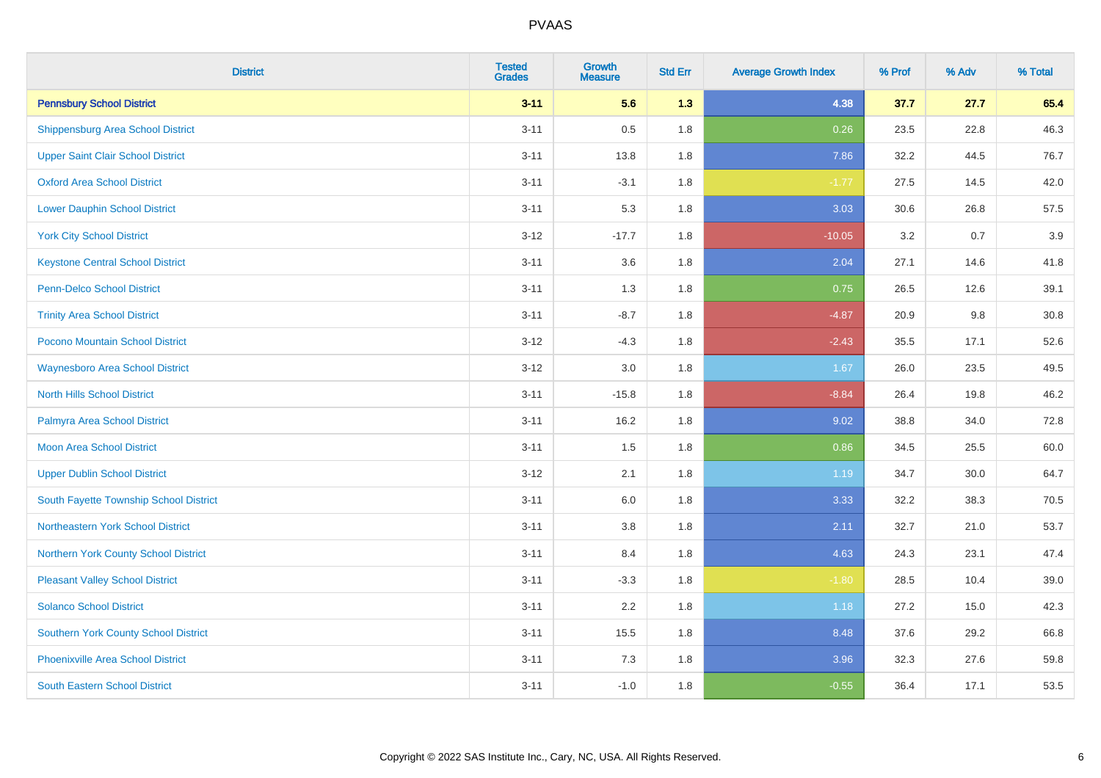| <b>District</b>                             | <b>Tested</b><br><b>Grades</b> | <b>Growth</b><br><b>Measure</b> | <b>Std Err</b> | <b>Average Growth Index</b> | % Prof | % Adv | % Total |
|---------------------------------------------|--------------------------------|---------------------------------|----------------|-----------------------------|--------|-------|---------|
| <b>Pennsbury School District</b>            | $3 - 11$                       | 5.6                             | 1.3            | 4.38                        | 37.7   | 27.7  | 65.4    |
| <b>Shippensburg Area School District</b>    | $3 - 11$                       | 0.5                             | 1.8            | 0.26                        | 23.5   | 22.8  | 46.3    |
| <b>Upper Saint Clair School District</b>    | $3 - 11$                       | 13.8                            | 1.8            | 7.86                        | 32.2   | 44.5  | 76.7    |
| <b>Oxford Area School District</b>          | $3 - 11$                       | $-3.1$                          | 1.8            | $-1.77$                     | 27.5   | 14.5  | 42.0    |
| <b>Lower Dauphin School District</b>        | $3 - 11$                       | 5.3                             | 1.8            | 3.03                        | 30.6   | 26.8  | 57.5    |
| <b>York City School District</b>            | $3 - 12$                       | $-17.7$                         | 1.8            | $-10.05$                    | 3.2    | 0.7   | 3.9     |
| <b>Keystone Central School District</b>     | $3 - 11$                       | 3.6                             | 1.8            | 2.04                        | 27.1   | 14.6  | 41.8    |
| Penn-Delco School District                  | $3 - 11$                       | 1.3                             | 1.8            | 0.75                        | 26.5   | 12.6  | 39.1    |
| <b>Trinity Area School District</b>         | $3 - 11$                       | $-8.7$                          | 1.8            | $-4.87$                     | 20.9   | 9.8   | 30.8    |
| Pocono Mountain School District             | $3 - 12$                       | $-4.3$                          | 1.8            | $-2.43$                     | 35.5   | 17.1  | 52.6    |
| <b>Waynesboro Area School District</b>      | $3 - 12$                       | 3.0                             | 1.8            | 1.67                        | 26.0   | 23.5  | 49.5    |
| <b>North Hills School District</b>          | $3 - 11$                       | $-15.8$                         | 1.8            | $-8.84$                     | 26.4   | 19.8  | 46.2    |
| Palmyra Area School District                | $3 - 11$                       | 16.2                            | 1.8            | 9.02                        | 38.8   | 34.0  | 72.8    |
| Moon Area School District                   | $3 - 11$                       | 1.5                             | 1.8            | 0.86                        | 34.5   | 25.5  | 60.0    |
| <b>Upper Dublin School District</b>         | $3 - 12$                       | 2.1                             | 1.8            | 1.19                        | 34.7   | 30.0  | 64.7    |
| South Fayette Township School District      | $3 - 11$                       | 6.0                             | 1.8            | 3.33                        | 32.2   | 38.3  | 70.5    |
| Northeastern York School District           | $3 - 11$                       | 3.8                             | 1.8            | 2.11                        | 32.7   | 21.0  | 53.7    |
| <b>Northern York County School District</b> | $3 - 11$                       | 8.4                             | 1.8            | 4.63                        | 24.3   | 23.1  | 47.4    |
| <b>Pleasant Valley School District</b>      | $3 - 11$                       | $-3.3$                          | 1.8            | $-1.80$                     | 28.5   | 10.4  | 39.0    |
| <b>Solanco School District</b>              | $3 - 11$                       | 2.2                             | 1.8            | 1.18                        | 27.2   | 15.0  | 42.3    |
| <b>Southern York County School District</b> | $3 - 11$                       | 15.5                            | 1.8            | 8.48                        | 37.6   | 29.2  | 66.8    |
| <b>Phoenixville Area School District</b>    | $3 - 11$                       | 7.3                             | 1.8            | 3.96                        | 32.3   | 27.6  | 59.8    |
| <b>South Eastern School District</b>        | $3 - 11$                       | $-1.0$                          | 1.8            | $-0.55$                     | 36.4   | 17.1  | 53.5    |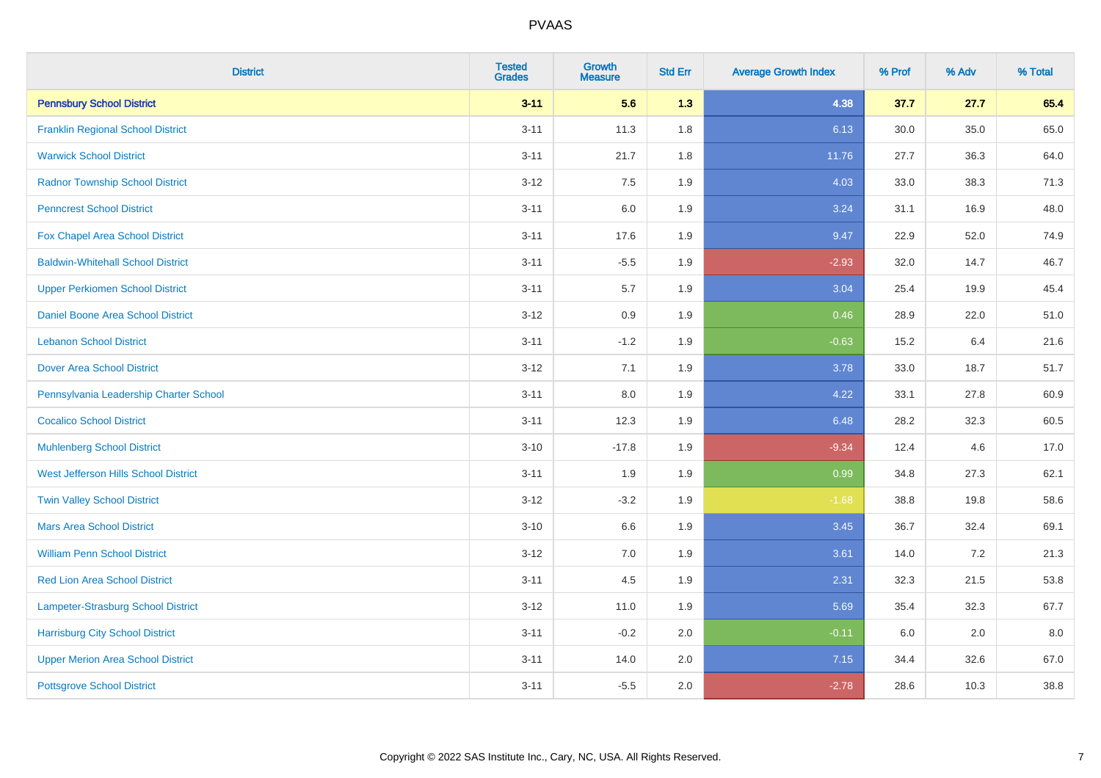| <b>District</b>                          | <b>Tested</b><br><b>Grades</b> | <b>Growth</b><br><b>Measure</b> | <b>Std Err</b> | <b>Average Growth Index</b> | % Prof | % Adv | % Total |
|------------------------------------------|--------------------------------|---------------------------------|----------------|-----------------------------|--------|-------|---------|
| <b>Pennsbury School District</b>         | $3 - 11$                       | 5.6                             | 1.3            | 4.38                        | 37.7   | 27.7  | 65.4    |
| <b>Franklin Regional School District</b> | $3 - 11$                       | 11.3                            | 1.8            | 6.13                        | 30.0   | 35.0  | 65.0    |
| <b>Warwick School District</b>           | $3 - 11$                       | 21.7                            | 1.8            | 11.76                       | 27.7   | 36.3  | 64.0    |
| <b>Radnor Township School District</b>   | $3 - 12$                       | 7.5                             | 1.9            | 4.03                        | 33.0   | 38.3  | 71.3    |
| <b>Penncrest School District</b>         | $3 - 11$                       | 6.0                             | 1.9            | 3.24                        | 31.1   | 16.9  | 48.0    |
| Fox Chapel Area School District          | $3 - 11$                       | 17.6                            | 1.9            | 9.47                        | 22.9   | 52.0  | 74.9    |
| <b>Baldwin-Whitehall School District</b> | $3 - 11$                       | $-5.5$                          | 1.9            | $-2.93$                     | 32.0   | 14.7  | 46.7    |
| <b>Upper Perkiomen School District</b>   | $3 - 11$                       | 5.7                             | 1.9            | 3.04                        | 25.4   | 19.9  | 45.4    |
| <b>Daniel Boone Area School District</b> | $3 - 12$                       | 0.9                             | 1.9            | 0.46                        | 28.9   | 22.0  | 51.0    |
| <b>Lebanon School District</b>           | $3 - 11$                       | $-1.2$                          | 1.9            | $-0.63$                     | 15.2   | 6.4   | 21.6    |
| <b>Dover Area School District</b>        | $3-12$                         | 7.1                             | 1.9            | 3.78                        | 33.0   | 18.7  | 51.7    |
| Pennsylvania Leadership Charter School   | $3 - 11$                       | 8.0                             | 1.9            | 4.22                        | 33.1   | 27.8  | 60.9    |
| <b>Cocalico School District</b>          | $3 - 11$                       | 12.3                            | 1.9            | 6.48                        | 28.2   | 32.3  | 60.5    |
| <b>Muhlenberg School District</b>        | $3 - 10$                       | $-17.8$                         | 1.9            | $-9.34$                     | 12.4   | 4.6   | 17.0    |
| West Jefferson Hills School District     | $3 - 11$                       | 1.9                             | 1.9            | 0.99                        | 34.8   | 27.3  | 62.1    |
| <b>Twin Valley School District</b>       | $3-12$                         | $-3.2$                          | 1.9            | $-1.68$                     | 38.8   | 19.8  | 58.6    |
| <b>Mars Area School District</b>         | $3 - 10$                       | 6.6                             | 1.9            | 3.45                        | 36.7   | 32.4  | 69.1    |
| <b>William Penn School District</b>      | $3-12$                         | 7.0                             | 1.9            | 3.61                        | 14.0   | 7.2   | 21.3    |
| <b>Red Lion Area School District</b>     | $3 - 11$                       | 4.5                             | 1.9            | 2.31                        | 32.3   | 21.5  | 53.8    |
| Lampeter-Strasburg School District       | $3 - 12$                       | 11.0                            | 1.9            | 5.69                        | 35.4   | 32.3  | 67.7    |
| <b>Harrisburg City School District</b>   | $3 - 11$                       | $-0.2$                          | 2.0            | $-0.11$                     | 6.0    | 2.0   | 8.0     |
| <b>Upper Merion Area School District</b> | $3 - 11$                       | 14.0                            | 2.0            | 7.15                        | 34.4   | 32.6  | 67.0    |
| <b>Pottsgrove School District</b>        | $3 - 11$                       | $-5.5$                          | 2.0            | $-2.78$                     | 28.6   | 10.3  | 38.8    |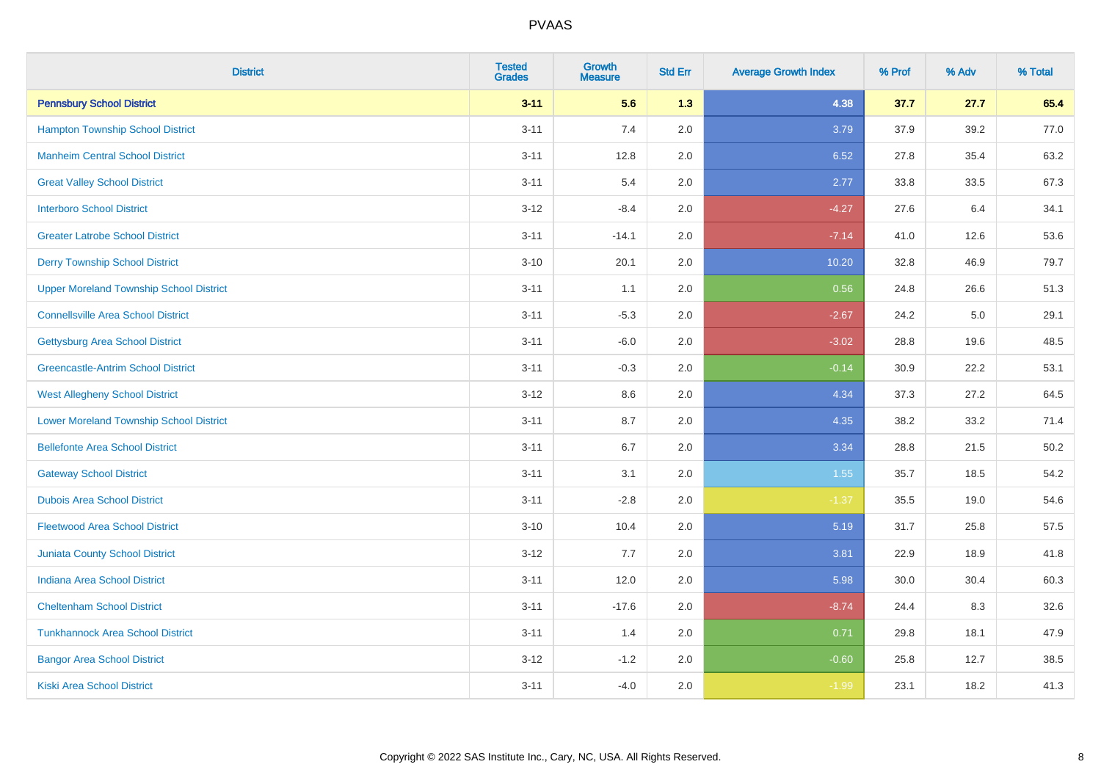| <b>District</b>                                | <b>Tested</b><br><b>Grades</b> | <b>Growth</b><br><b>Measure</b> | <b>Std Err</b> | <b>Average Growth Index</b> | % Prof | % Adv | % Total |
|------------------------------------------------|--------------------------------|---------------------------------|----------------|-----------------------------|--------|-------|---------|
| <b>Pennsbury School District</b>               | $3 - 11$                       | 5.6                             | 1.3            | 4.38                        | 37.7   | 27.7  | 65.4    |
| <b>Hampton Township School District</b>        | $3 - 11$                       | 7.4                             | 2.0            | 3.79                        | 37.9   | 39.2  | 77.0    |
| <b>Manheim Central School District</b>         | $3 - 11$                       | 12.8                            | 2.0            | 6.52                        | 27.8   | 35.4  | 63.2    |
| <b>Great Valley School District</b>            | $3 - 11$                       | 5.4                             | 2.0            | 2.77                        | 33.8   | 33.5  | 67.3    |
| <b>Interboro School District</b>               | $3-12$                         | $-8.4$                          | 2.0            | $-4.27$                     | 27.6   | 6.4   | 34.1    |
| <b>Greater Latrobe School District</b>         | $3 - 11$                       | $-14.1$                         | 2.0            | $-7.14$                     | 41.0   | 12.6  | 53.6    |
| <b>Derry Township School District</b>          | $3 - 10$                       | 20.1                            | 2.0            | 10.20                       | 32.8   | 46.9  | 79.7    |
| <b>Upper Moreland Township School District</b> | $3 - 11$                       | 1.1                             | 2.0            | 0.56                        | 24.8   | 26.6  | 51.3    |
| <b>Connellsville Area School District</b>      | $3 - 11$                       | $-5.3$                          | 2.0            | $-2.67$                     | 24.2   | 5.0   | 29.1    |
| <b>Gettysburg Area School District</b>         | $3 - 11$                       | $-6.0$                          | 2.0            | $-3.02$                     | 28.8   | 19.6  | 48.5    |
| <b>Greencastle-Antrim School District</b>      | $3 - 11$                       | $-0.3$                          | 2.0            | $-0.14$                     | 30.9   | 22.2  | 53.1    |
| <b>West Allegheny School District</b>          | $3 - 12$                       | 8.6                             | 2.0            | 4.34                        | 37.3   | 27.2  | 64.5    |
| <b>Lower Moreland Township School District</b> | $3 - 11$                       | 8.7                             | 2.0            | 4.35                        | 38.2   | 33.2  | 71.4    |
| <b>Bellefonte Area School District</b>         | $3 - 11$                       | 6.7                             | 2.0            | 3.34                        | 28.8   | 21.5  | 50.2    |
| <b>Gateway School District</b>                 | $3 - 11$                       | 3.1                             | 2.0            | 1.55                        | 35.7   | 18.5  | 54.2    |
| <b>Dubois Area School District</b>             | $3 - 11$                       | $-2.8$                          | 2.0            | $-1.37$                     | 35.5   | 19.0  | 54.6    |
| <b>Fleetwood Area School District</b>          | $3 - 10$                       | 10.4                            | 2.0            | 5.19                        | 31.7   | 25.8  | 57.5    |
| Juniata County School District                 | $3 - 12$                       | 7.7                             | 2.0            | 3.81                        | 22.9   | 18.9  | 41.8    |
| <b>Indiana Area School District</b>            | $3 - 11$                       | 12.0                            | 2.0            | 5.98                        | 30.0   | 30.4  | 60.3    |
| <b>Cheltenham School District</b>              | $3 - 11$                       | $-17.6$                         | 2.0            | $-8.74$                     | 24.4   | 8.3   | 32.6    |
| <b>Tunkhannock Area School District</b>        | $3 - 11$                       | 1.4                             | 2.0            | 0.71                        | 29.8   | 18.1  | 47.9    |
| <b>Bangor Area School District</b>             | $3 - 12$                       | $-1.2$                          | 2.0            | $-0.60$                     | 25.8   | 12.7  | 38.5    |
| <b>Kiski Area School District</b>              | $3 - 11$                       | $-4.0$                          | 2.0            | $-1.99$                     | 23.1   | 18.2  | 41.3    |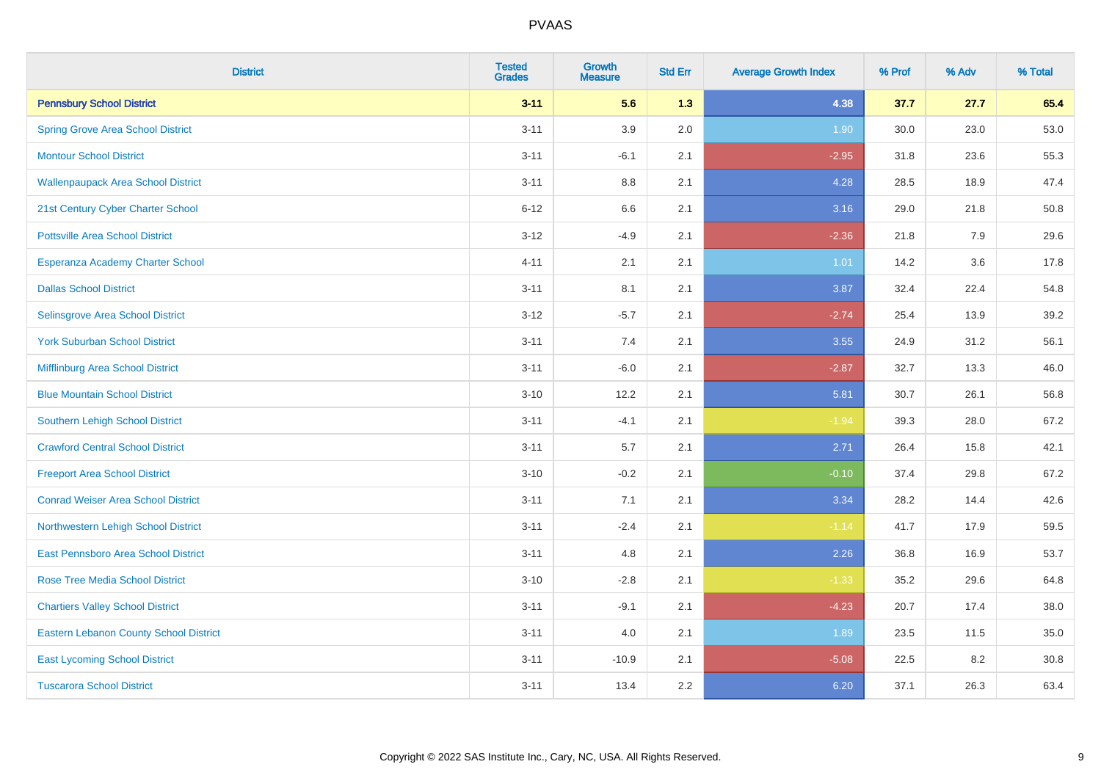| <b>District</b>                               | <b>Tested</b><br><b>Grades</b> | <b>Growth</b><br><b>Measure</b> | <b>Std Err</b> | <b>Average Growth Index</b> | % Prof | % Adv | % Total |
|-----------------------------------------------|--------------------------------|---------------------------------|----------------|-----------------------------|--------|-------|---------|
| <b>Pennsbury School District</b>              | $3 - 11$                       | 5.6                             | 1.3            | 4.38                        | 37.7   | 27.7  | 65.4    |
| <b>Spring Grove Area School District</b>      | $3 - 11$                       | 3.9                             | 2.0            | 1.90                        | 30.0   | 23.0  | 53.0    |
| <b>Montour School District</b>                | $3 - 11$                       | $-6.1$                          | 2.1            | $-2.95$                     | 31.8   | 23.6  | 55.3    |
| <b>Wallenpaupack Area School District</b>     | $3 - 11$                       | $8.8\,$                         | 2.1            | 4.28                        | 28.5   | 18.9  | 47.4    |
| 21st Century Cyber Charter School             | $6 - 12$                       | 6.6                             | 2.1            | 3.16                        | 29.0   | 21.8  | 50.8    |
| <b>Pottsville Area School District</b>        | $3 - 12$                       | $-4.9$                          | 2.1            | $-2.36$                     | 21.8   | 7.9   | 29.6    |
| Esperanza Academy Charter School              | $4 - 11$                       | 2.1                             | 2.1            | $1.01$                      | 14.2   | 3.6   | 17.8    |
| <b>Dallas School District</b>                 | $3 - 11$                       | 8.1                             | 2.1            | 3.87                        | 32.4   | 22.4  | 54.8    |
| Selinsgrove Area School District              | $3 - 12$                       | $-5.7$                          | 2.1            | $-2.74$                     | 25.4   | 13.9  | 39.2    |
| <b>York Suburban School District</b>          | $3 - 11$                       | 7.4                             | 2.1            | 3.55                        | 24.9   | 31.2  | 56.1    |
| Mifflinburg Area School District              | $3 - 11$                       | $-6.0$                          | 2.1            | $-2.87$                     | 32.7   | 13.3  | 46.0    |
| <b>Blue Mountain School District</b>          | $3 - 10$                       | 12.2                            | 2.1            | 5.81                        | 30.7   | 26.1  | 56.8    |
| Southern Lehigh School District               | $3 - 11$                       | $-4.1$                          | 2.1            | $-1.94$                     | 39.3   | 28.0  | 67.2    |
| <b>Crawford Central School District</b>       | $3 - 11$                       | $5.7\,$                         | 2.1            | 2.71                        | 26.4   | 15.8  | 42.1    |
| <b>Freeport Area School District</b>          | $3 - 10$                       | $-0.2$                          | 2.1            | $-0.10$                     | 37.4   | 29.8  | 67.2    |
| <b>Conrad Weiser Area School District</b>     | $3 - 11$                       | 7.1                             | 2.1            | 3.34                        | 28.2   | 14.4  | 42.6    |
| Northwestern Lehigh School District           | $3 - 11$                       | $-2.4$                          | 2.1            | $-1.14$                     | 41.7   | 17.9  | 59.5    |
| East Pennsboro Area School District           | $3 - 11$                       | 4.8                             | 2.1            | 2.26                        | 36.8   | 16.9  | 53.7    |
| <b>Rose Tree Media School District</b>        | $3 - 10$                       | $-2.8$                          | 2.1            | $-1.33$                     | 35.2   | 29.6  | 64.8    |
| <b>Chartiers Valley School District</b>       | $3 - 11$                       | $-9.1$                          | 2.1            | $-4.23$                     | 20.7   | 17.4  | 38.0    |
| <b>Eastern Lebanon County School District</b> | $3 - 11$                       | 4.0                             | 2.1            | 1.89                        | 23.5   | 11.5  | 35.0    |
| <b>East Lycoming School District</b>          | $3 - 11$                       | $-10.9$                         | 2.1            | $-5.08$                     | 22.5   | 8.2   | 30.8    |
| <b>Tuscarora School District</b>              | $3 - 11$                       | 13.4                            | 2.2            | 6.20                        | 37.1   | 26.3  | 63.4    |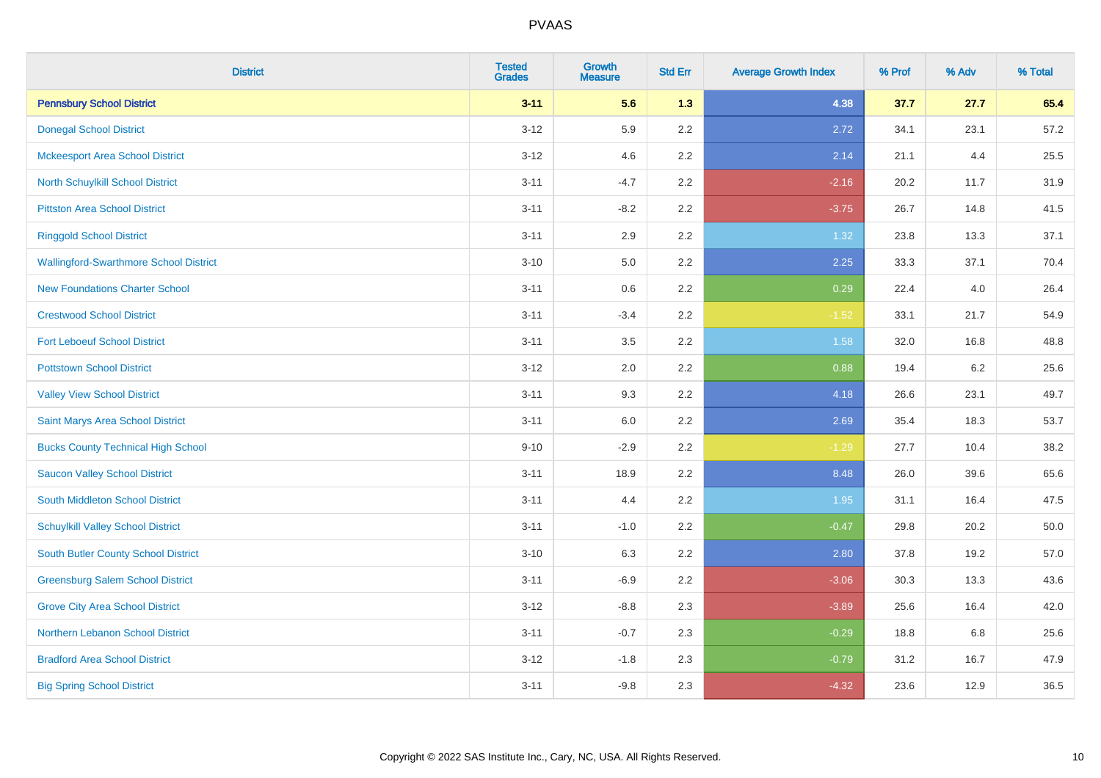| <b>District</b>                               | <b>Tested</b><br><b>Grades</b> | Growth<br><b>Measure</b> | <b>Std Err</b> | <b>Average Growth Index</b> | % Prof | % Adv   | % Total |
|-----------------------------------------------|--------------------------------|--------------------------|----------------|-----------------------------|--------|---------|---------|
| <b>Pennsbury School District</b>              | $3 - 11$                       | 5.6                      | 1.3            | 4.38                        | 37.7   | 27.7    | 65.4    |
| <b>Donegal School District</b>                | $3 - 12$                       | 5.9                      | 2.2            | 2.72                        | 34.1   | 23.1    | 57.2    |
| <b>Mckeesport Area School District</b>        | $3 - 12$                       | 4.6                      | 2.2            | 2.14                        | 21.1   | 4.4     | 25.5    |
| North Schuylkill School District              | $3 - 11$                       | $-4.7$                   | 2.2            | $-2.16$                     | 20.2   | 11.7    | 31.9    |
| <b>Pittston Area School District</b>          | $3 - 11$                       | $-8.2$                   | 2.2            | $-3.75$                     | 26.7   | 14.8    | 41.5    |
| <b>Ringgold School District</b>               | $3 - 11$                       | 2.9                      | 2.2            | 1.32                        | 23.8   | 13.3    | 37.1    |
| <b>Wallingford-Swarthmore School District</b> | $3 - 10$                       | 5.0                      | 2.2            | 2.25                        | 33.3   | 37.1    | 70.4    |
| <b>New Foundations Charter School</b>         | $3 - 11$                       | 0.6                      | 2.2            | 0.29                        | 22.4   | 4.0     | 26.4    |
| <b>Crestwood School District</b>              | $3 - 11$                       | $-3.4$                   | 2.2            | $-1.52$                     | 33.1   | 21.7    | 54.9    |
| <b>Fort Leboeuf School District</b>           | $3 - 11$                       | 3.5                      | 2.2            | 1.58                        | 32.0   | 16.8    | 48.8    |
| <b>Pottstown School District</b>              | $3 - 12$                       | 2.0                      | 2.2            | 0.88                        | 19.4   | $6.2\,$ | 25.6    |
| <b>Valley View School District</b>            | $3 - 11$                       | 9.3                      | 2.2            | 4.18                        | 26.6   | 23.1    | 49.7    |
| Saint Marys Area School District              | $3 - 11$                       | 6.0                      | 2.2            | 2.69                        | 35.4   | 18.3    | 53.7    |
| <b>Bucks County Technical High School</b>     | $9 - 10$                       | $-2.9$                   | 2.2            | $-1.29$                     | 27.7   | 10.4    | 38.2    |
| <b>Saucon Valley School District</b>          | $3 - 11$                       | 18.9                     | 2.2            | 8.48                        | 26.0   | 39.6    | 65.6    |
| South Middleton School District               | $3 - 11$                       | 4.4                      | 2.2            | 1.95                        | 31.1   | 16.4    | 47.5    |
| <b>Schuylkill Valley School District</b>      | $3 - 11$                       | $-1.0$                   | 2.2            | $-0.47$                     | 29.8   | 20.2    | 50.0    |
| South Butler County School District           | $3 - 10$                       | 6.3                      | 2.2            | 2.80                        | 37.8   | 19.2    | 57.0    |
| <b>Greensburg Salem School District</b>       | $3 - 11$                       | $-6.9$                   | 2.2            | $-3.06$                     | 30.3   | 13.3    | 43.6    |
| <b>Grove City Area School District</b>        | $3-12$                         | $-8.8$                   | 2.3            | $-3.89$                     | 25.6   | 16.4    | 42.0    |
| Northern Lebanon School District              | $3 - 11$                       | $-0.7$                   | 2.3            | $-0.29$                     | 18.8   | 6.8     | 25.6    |
| <b>Bradford Area School District</b>          | $3-12$                         | $-1.8$                   | 2.3            | $-0.79$                     | 31.2   | 16.7    | 47.9    |
| <b>Big Spring School District</b>             | $3 - 11$                       | $-9.8$                   | 2.3            | $-4.32$                     | 23.6   | 12.9    | 36.5    |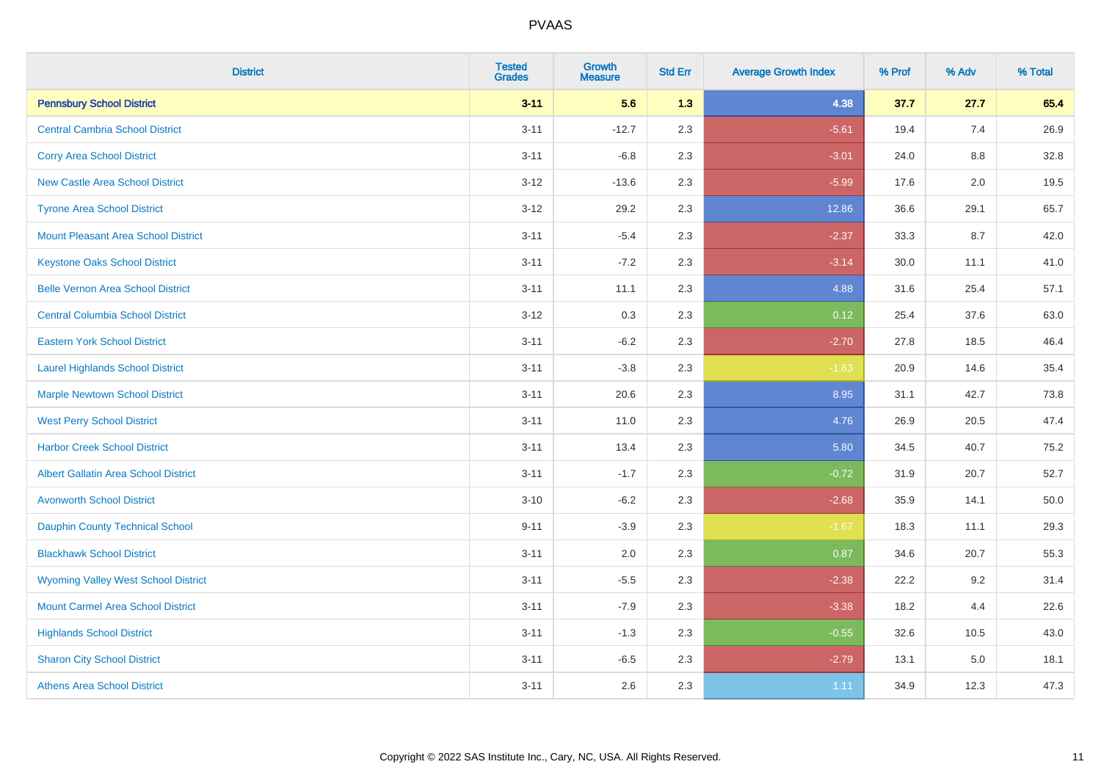| <b>District</b>                             | <b>Tested</b><br><b>Grades</b> | <b>Growth</b><br><b>Measure</b> | <b>Std Err</b> | <b>Average Growth Index</b> | % Prof | % Adv   | % Total |
|---------------------------------------------|--------------------------------|---------------------------------|----------------|-----------------------------|--------|---------|---------|
| <b>Pennsbury School District</b>            | $3 - 11$                       | 5.6                             | 1.3            | 4.38                        | 37.7   | 27.7    | 65.4    |
| <b>Central Cambria School District</b>      | $3 - 11$                       | $-12.7$                         | 2.3            | $-5.61$                     | 19.4   | 7.4     | 26.9    |
| <b>Corry Area School District</b>           | $3 - 11$                       | $-6.8$                          | 2.3            | $-3.01$                     | 24.0   | 8.8     | 32.8    |
| <b>New Castle Area School District</b>      | $3 - 12$                       | $-13.6$                         | 2.3            | $-5.99$                     | 17.6   | 2.0     | 19.5    |
| <b>Tyrone Area School District</b>          | $3-12$                         | 29.2                            | 2.3            | 12.86                       | 36.6   | 29.1    | 65.7    |
| <b>Mount Pleasant Area School District</b>  | $3 - 11$                       | $-5.4$                          | 2.3            | $-2.37$                     | 33.3   | 8.7     | 42.0    |
| <b>Keystone Oaks School District</b>        | $3 - 11$                       | $-7.2$                          | 2.3            | $-3.14$                     | 30.0   | 11.1    | 41.0    |
| <b>Belle Vernon Area School District</b>    | $3 - 11$                       | 11.1                            | 2.3            | 4.88                        | 31.6   | 25.4    | 57.1    |
| <b>Central Columbia School District</b>     | $3-12$                         | 0.3                             | 2.3            | 0.12                        | 25.4   | 37.6    | 63.0    |
| <b>Eastern York School District</b>         | $3 - 11$                       | $-6.2$                          | 2.3            | $-2.70$                     | 27.8   | 18.5    | 46.4    |
| <b>Laurel Highlands School District</b>     | $3 - 11$                       | $-3.8$                          | 2.3            | $-1.63$                     | 20.9   | 14.6    | 35.4    |
| <b>Marple Newtown School District</b>       | $3 - 11$                       | 20.6                            | 2.3            | 8.95                        | 31.1   | 42.7    | 73.8    |
| <b>West Perry School District</b>           | $3 - 11$                       | 11.0                            | 2.3            | 4.76                        | 26.9   | 20.5    | 47.4    |
| <b>Harbor Creek School District</b>         | $3 - 11$                       | 13.4                            | 2.3            | 5.80                        | 34.5   | 40.7    | 75.2    |
| <b>Albert Gallatin Area School District</b> | $3 - 11$                       | $-1.7$                          | 2.3            | $-0.72$                     | 31.9   | 20.7    | 52.7    |
| <b>Avonworth School District</b>            | $3 - 10$                       | $-6.2$                          | 2.3            | $-2.68$                     | 35.9   | 14.1    | 50.0    |
| Dauphin County Technical School             | $9 - 11$                       | $-3.9$                          | 2.3            | $-1.67$                     | 18.3   | 11.1    | 29.3    |
| <b>Blackhawk School District</b>            | $3 - 11$                       | 2.0                             | 2.3            | 0.87                        | 34.6   | 20.7    | 55.3    |
| <b>Wyoming Valley West School District</b>  | $3 - 11$                       | $-5.5$                          | 2.3            | $-2.38$                     | 22.2   | 9.2     | 31.4    |
| <b>Mount Carmel Area School District</b>    | $3 - 11$                       | $-7.9$                          | 2.3            | $-3.38$                     | 18.2   | 4.4     | 22.6    |
| <b>Highlands School District</b>            | $3 - 11$                       | $-1.3$                          | 2.3            | $-0.55$                     | 32.6   | 10.5    | 43.0    |
| <b>Sharon City School District</b>          | $3 - 11$                       | $-6.5$                          | 2.3            | $-2.79$                     | 13.1   | $5.0\,$ | 18.1    |
| <b>Athens Area School District</b>          | $3 - 11$                       | 2.6                             | 2.3            | 1.11                        | 34.9   | 12.3    | 47.3    |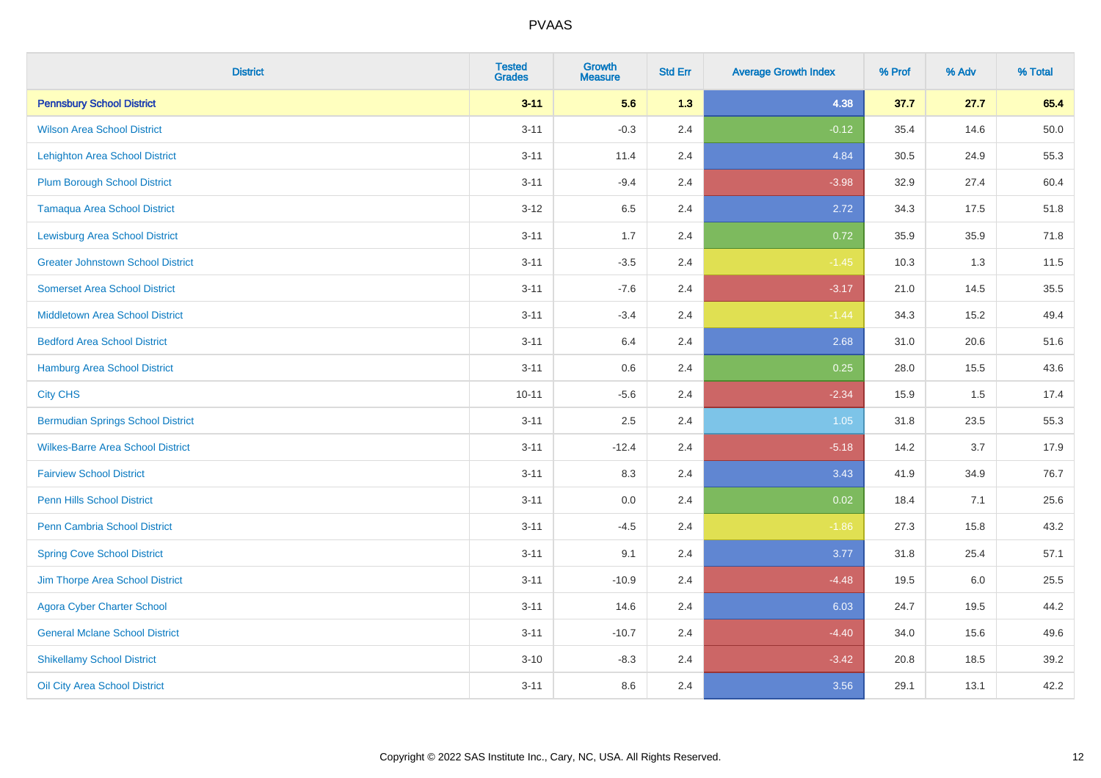| <b>District</b>                          | <b>Tested</b><br><b>Grades</b> | Growth<br><b>Measure</b> | <b>Std Err</b> | <b>Average Growth Index</b> | % Prof | % Adv | % Total |
|------------------------------------------|--------------------------------|--------------------------|----------------|-----------------------------|--------|-------|---------|
| <b>Pennsbury School District</b>         | $3 - 11$                       | 5.6                      | 1.3            | 4.38                        | 37.7   | 27.7  | 65.4    |
| <b>Wilson Area School District</b>       | $3 - 11$                       | $-0.3$                   | 2.4            | $-0.12$                     | 35.4   | 14.6  | 50.0    |
| <b>Lehighton Area School District</b>    | $3 - 11$                       | 11.4                     | 2.4            | 4.84                        | 30.5   | 24.9  | 55.3    |
| <b>Plum Borough School District</b>      | $3 - 11$                       | $-9.4$                   | 2.4            | $-3.98$                     | 32.9   | 27.4  | 60.4    |
| <b>Tamaqua Area School District</b>      | $3 - 12$                       | 6.5                      | 2.4            | 2.72                        | 34.3   | 17.5  | 51.8    |
| <b>Lewisburg Area School District</b>    | $3 - 11$                       | 1.7                      | 2.4            | 0.72                        | 35.9   | 35.9  | 71.8    |
| <b>Greater Johnstown School District</b> | $3 - 11$                       | $-3.5$                   | 2.4            | $-1.45$                     | 10.3   | 1.3   | 11.5    |
| <b>Somerset Area School District</b>     | $3 - 11$                       | $-7.6$                   | 2.4            | $-3.17$                     | 21.0   | 14.5  | 35.5    |
| <b>Middletown Area School District</b>   | $3 - 11$                       | $-3.4$                   | 2.4            | $-1.44$                     | 34.3   | 15.2  | 49.4    |
| <b>Bedford Area School District</b>      | $3 - 11$                       | 6.4                      | 2.4            | 2.68                        | 31.0   | 20.6  | 51.6    |
| Hamburg Area School District             | $3 - 11$                       | 0.6                      | 2.4            | 0.25                        | 28.0   | 15.5  | 43.6    |
| <b>City CHS</b>                          | $10 - 11$                      | $-5.6$                   | 2.4            | $-2.34$                     | 15.9   | 1.5   | 17.4    |
| <b>Bermudian Springs School District</b> | $3 - 11$                       | 2.5                      | 2.4            | 1.05                        | 31.8   | 23.5  | 55.3    |
| <b>Wilkes-Barre Area School District</b> | $3 - 11$                       | $-12.4$                  | 2.4            | $-5.18$                     | 14.2   | 3.7   | 17.9    |
| <b>Fairview School District</b>          | $3 - 11$                       | 8.3                      | 2.4            | 3.43                        | 41.9   | 34.9  | 76.7    |
| <b>Penn Hills School District</b>        | $3 - 11$                       | 0.0                      | 2.4            | 0.02                        | 18.4   | 7.1   | 25.6    |
| Penn Cambria School District             | $3 - 11$                       | $-4.5$                   | 2.4            | $-1.86$                     | 27.3   | 15.8  | 43.2    |
| <b>Spring Cove School District</b>       | $3 - 11$                       | 9.1                      | 2.4            | 3.77                        | 31.8   | 25.4  | 57.1    |
| Jim Thorpe Area School District          | $3 - 11$                       | $-10.9$                  | 2.4            | $-4.48$                     | 19.5   | 6.0   | 25.5    |
| <b>Agora Cyber Charter School</b>        | $3 - 11$                       | 14.6                     | 2.4            | 6.03                        | 24.7   | 19.5  | 44.2    |
| <b>General Mclane School District</b>    | $3 - 11$                       | $-10.7$                  | 2.4            | $-4.40$                     | 34.0   | 15.6  | 49.6    |
| <b>Shikellamy School District</b>        | $3 - 10$                       | $-8.3$                   | 2.4            | $-3.42$                     | 20.8   | 18.5  | 39.2    |
| Oil City Area School District            | $3 - 11$                       | 8.6                      | 2.4            | 3.56                        | 29.1   | 13.1  | 42.2    |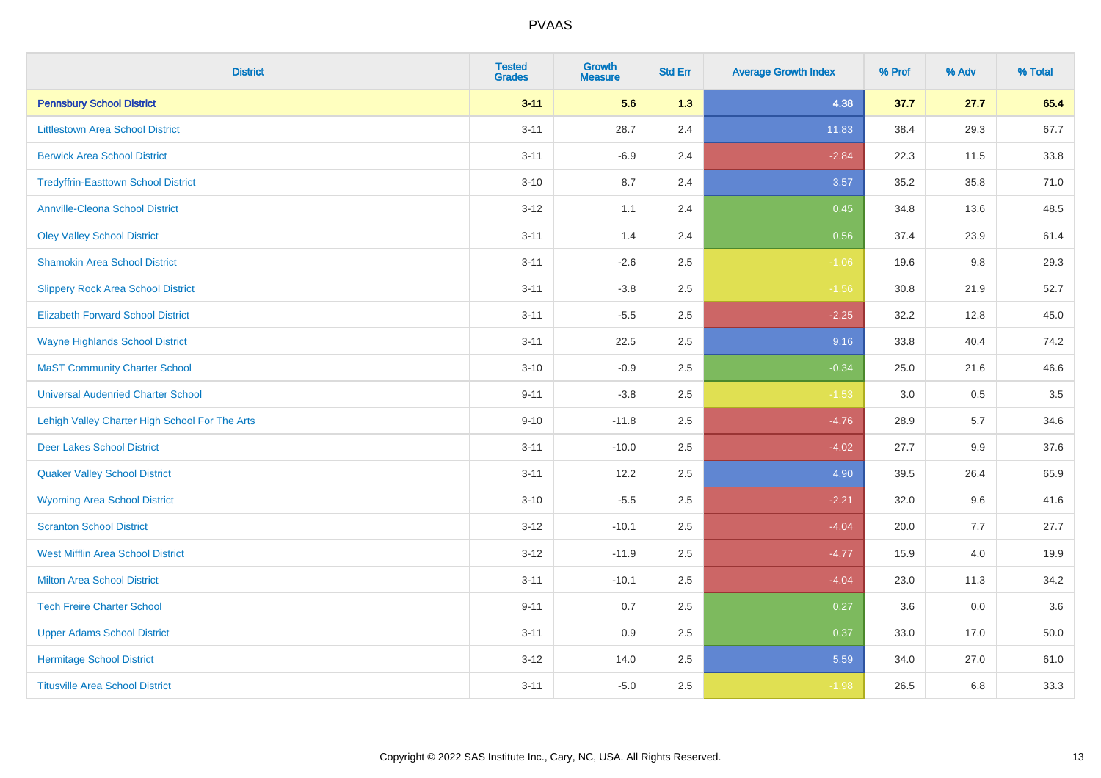| <b>District</b>                                | <b>Tested</b><br><b>Grades</b> | Growth<br><b>Measure</b> | <b>Std Err</b> | <b>Average Growth Index</b> | % Prof | % Adv | % Total |
|------------------------------------------------|--------------------------------|--------------------------|----------------|-----------------------------|--------|-------|---------|
| <b>Pennsbury School District</b>               | $3 - 11$                       | 5.6                      | 1.3            | 4.38                        | 37.7   | 27.7  | 65.4    |
| <b>Littlestown Area School District</b>        | $3 - 11$                       | 28.7                     | 2.4            | 11.83                       | 38.4   | 29.3  | 67.7    |
| <b>Berwick Area School District</b>            | $3 - 11$                       | $-6.9$                   | 2.4            | $-2.84$                     | 22.3   | 11.5  | 33.8    |
| <b>Tredyffrin-Easttown School District</b>     | $3 - 10$                       | 8.7                      | 2.4            | 3.57                        | 35.2   | 35.8  | 71.0    |
| <b>Annville-Cleona School District</b>         | $3 - 12$                       | 1.1                      | 2.4            | 0.45                        | 34.8   | 13.6  | 48.5    |
| <b>Oley Valley School District</b>             | $3 - 11$                       | 1.4                      | 2.4            | 0.56                        | 37.4   | 23.9  | 61.4    |
| <b>Shamokin Area School District</b>           | $3 - 11$                       | $-2.6$                   | 2.5            | $-1.06$                     | 19.6   | 9.8   | 29.3    |
| <b>Slippery Rock Area School District</b>      | $3 - 11$                       | $-3.8$                   | 2.5            | $-1.56$                     | 30.8   | 21.9  | 52.7    |
| <b>Elizabeth Forward School District</b>       | $3 - 11$                       | $-5.5$                   | 2.5            | $-2.25$                     | 32.2   | 12.8  | 45.0    |
| <b>Wayne Highlands School District</b>         | $3 - 11$                       | 22.5                     | 2.5            | 9.16                        | 33.8   | 40.4  | 74.2    |
| <b>MaST Community Charter School</b>           | $3 - 10$                       | $-0.9$                   | 2.5            | $-0.34$                     | 25.0   | 21.6  | 46.6    |
| <b>Universal Audenried Charter School</b>      | $9 - 11$                       | $-3.8$                   | 2.5            | $-1.53$                     | 3.0    | 0.5   | 3.5     |
| Lehigh Valley Charter High School For The Arts | $9 - 10$                       | $-11.8$                  | 2.5            | $-4.76$                     | 28.9   | 5.7   | 34.6    |
| <b>Deer Lakes School District</b>              | $3 - 11$                       | $-10.0$                  | 2.5            | $-4.02$                     | 27.7   | 9.9   | 37.6    |
| <b>Quaker Valley School District</b>           | $3 - 11$                       | 12.2                     | 2.5            | 4.90                        | 39.5   | 26.4  | 65.9    |
| <b>Wyoming Area School District</b>            | $3 - 10$                       | $-5.5$                   | 2.5            | $-2.21$                     | 32.0   | 9.6   | 41.6    |
| <b>Scranton School District</b>                | $3 - 12$                       | $-10.1$                  | 2.5            | $-4.04$                     | 20.0   | 7.7   | 27.7    |
| <b>West Mifflin Area School District</b>       | $3 - 12$                       | $-11.9$                  | 2.5            | $-4.77$                     | 15.9   | 4.0   | 19.9    |
| <b>Milton Area School District</b>             | $3 - 11$                       | $-10.1$                  | 2.5            | $-4.04$                     | 23.0   | 11.3  | 34.2    |
| <b>Tech Freire Charter School</b>              | $9 - 11$                       | 0.7                      | 2.5            | 0.27                        | 3.6    | 0.0   | 3.6     |
| <b>Upper Adams School District</b>             | $3 - 11$                       | 0.9                      | 2.5            | 0.37                        | 33.0   | 17.0  | 50.0    |
| <b>Hermitage School District</b>               | $3 - 12$                       | 14.0                     | 2.5            | 5.59                        | 34.0   | 27.0  | 61.0    |
| <b>Titusville Area School District</b>         | $3 - 11$                       | $-5.0$                   | 2.5            | $-1.98$                     | 26.5   | 6.8   | 33.3    |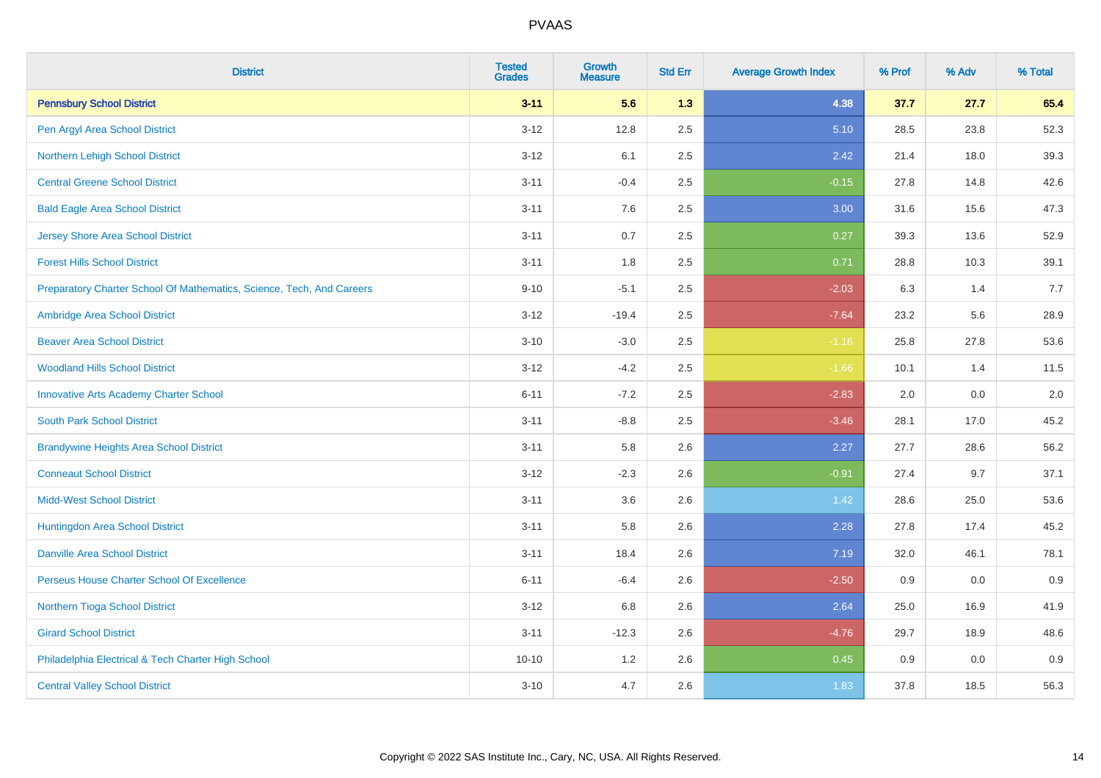| <b>District</b>                                                       | <b>Tested</b><br><b>Grades</b> | <b>Growth</b><br><b>Measure</b> | <b>Std Err</b> | <b>Average Growth Index</b> | % Prof | % Adv | % Total |
|-----------------------------------------------------------------------|--------------------------------|---------------------------------|----------------|-----------------------------|--------|-------|---------|
| <b>Pennsbury School District</b>                                      | $3 - 11$                       | 5.6                             | 1.3            | 4.38                        | 37.7   | 27.7  | 65.4    |
| Pen Argyl Area School District                                        | $3 - 12$                       | 12.8                            | 2.5            | 5.10                        | 28.5   | 23.8  | 52.3    |
| Northern Lehigh School District                                       | $3 - 12$                       | 6.1                             | 2.5            | 2.42                        | 21.4   | 18.0  | 39.3    |
| <b>Central Greene School District</b>                                 | $3 - 11$                       | $-0.4$                          | 2.5            | $-0.15$                     | 27.8   | 14.8  | 42.6    |
| <b>Bald Eagle Area School District</b>                                | $3 - 11$                       | 7.6                             | 2.5            | 3.00                        | 31.6   | 15.6  | 47.3    |
| <b>Jersey Shore Area School District</b>                              | $3 - 11$                       | 0.7                             | 2.5            | 0.27                        | 39.3   | 13.6  | 52.9    |
| <b>Forest Hills School District</b>                                   | $3 - 11$                       | 1.8                             | 2.5            | 0.71                        | 28.8   | 10.3  | 39.1    |
| Preparatory Charter School Of Mathematics, Science, Tech, And Careers | $9 - 10$                       | $-5.1$                          | 2.5            | $-2.03$                     | 6.3    | 1.4   | 7.7     |
| Ambridge Area School District                                         | $3 - 12$                       | $-19.4$                         | 2.5            | $-7.64$                     | 23.2   | 5.6   | 28.9    |
| <b>Beaver Area School District</b>                                    | $3 - 10$                       | $-3.0$                          | 2.5            | $-1.16$                     | 25.8   | 27.8  | 53.6    |
| <b>Woodland Hills School District</b>                                 | $3 - 12$                       | $-4.2$                          | 2.5            | $-1.66$                     | 10.1   | 1.4   | 11.5    |
| <b>Innovative Arts Academy Charter School</b>                         | $6 - 11$                       | $-7.2$                          | 2.5            | $-2.83$                     | 2.0    | 0.0   | 2.0     |
| <b>South Park School District</b>                                     | $3 - 11$                       | $-8.8$                          | 2.5            | $-3.46$                     | 28.1   | 17.0  | 45.2    |
| <b>Brandywine Heights Area School District</b>                        | $3 - 11$                       | 5.8                             | 2.6            | 2.27                        | 27.7   | 28.6  | 56.2    |
| <b>Conneaut School District</b>                                       | $3 - 12$                       | $-2.3$                          | 2.6            | $-0.91$                     | 27.4   | 9.7   | 37.1    |
| <b>Midd-West School District</b>                                      | $3 - 11$                       | 3.6                             | 2.6            | 1.42                        | 28.6   | 25.0  | 53.6    |
| Huntingdon Area School District                                       | $3 - 11$                       | 5.8                             | 2.6            | 2.28                        | 27.8   | 17.4  | 45.2    |
| <b>Danville Area School District</b>                                  | $3 - 11$                       | 18.4                            | 2.6            | 7.19                        | 32.0   | 46.1  | 78.1    |
| Perseus House Charter School Of Excellence                            | $6 - 11$                       | $-6.4$                          | 2.6            | $-2.50$                     | 0.9    | 0.0   | 0.9     |
| Northern Tioga School District                                        | $3 - 12$                       | 6.8                             | 2.6            | 2.64                        | 25.0   | 16.9  | 41.9    |
| <b>Girard School District</b>                                         | $3 - 11$                       | $-12.3$                         | 2.6            | $-4.76$                     | 29.7   | 18.9  | 48.6    |
| Philadelphia Electrical & Tech Charter High School                    | $10 - 10$                      | 1.2                             | 2.6            | 0.45                        | 0.9    | 0.0   | 0.9     |
| <b>Central Valley School District</b>                                 | $3 - 10$                       | 4.7                             | 2.6            | 1.83                        | 37.8   | 18.5  | 56.3    |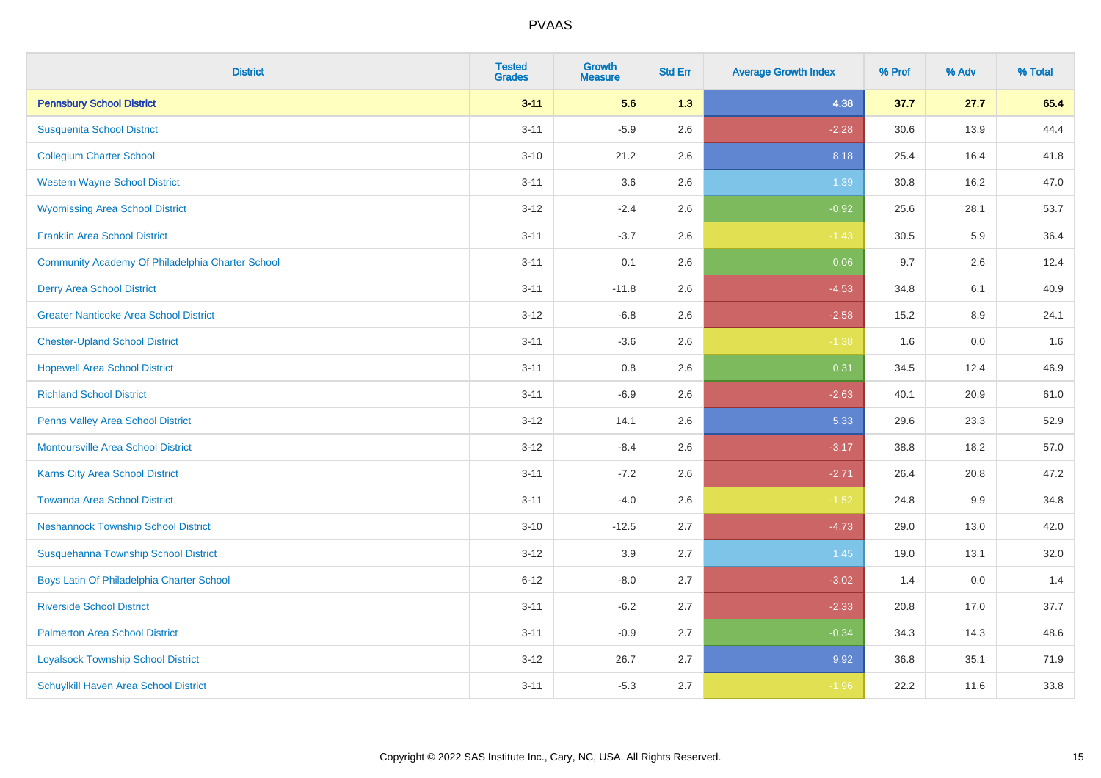| <b>District</b>                                  | <b>Tested</b><br><b>Grades</b> | <b>Growth</b><br><b>Measure</b> | <b>Std Err</b> | <b>Average Growth Index</b> | % Prof | % Adv | % Total |
|--------------------------------------------------|--------------------------------|---------------------------------|----------------|-----------------------------|--------|-------|---------|
| <b>Pennsbury School District</b>                 | $3 - 11$                       | 5.6                             | 1.3            | 4.38                        | 37.7   | 27.7  | 65.4    |
| <b>Susquenita School District</b>                | $3 - 11$                       | $-5.9$                          | 2.6            | $-2.28$                     | 30.6   | 13.9  | 44.4    |
| <b>Collegium Charter School</b>                  | $3 - 10$                       | 21.2                            | 2.6            | 8.18                        | 25.4   | 16.4  | 41.8    |
| <b>Western Wayne School District</b>             | $3 - 11$                       | 3.6                             | 2.6            | 1.39                        | 30.8   | 16.2  | 47.0    |
| <b>Wyomissing Area School District</b>           | $3-12$                         | $-2.4$                          | 2.6            | $-0.92$                     | 25.6   | 28.1  | 53.7    |
| <b>Franklin Area School District</b>             | $3 - 11$                       | $-3.7$                          | 2.6            | $-1.43$                     | 30.5   | 5.9   | 36.4    |
| Community Academy Of Philadelphia Charter School | $3 - 11$                       | 0.1                             | 2.6            | 0.06                        | 9.7    | 2.6   | 12.4    |
| <b>Derry Area School District</b>                | $3 - 11$                       | $-11.8$                         | 2.6            | $-4.53$                     | 34.8   | 6.1   | 40.9    |
| <b>Greater Nanticoke Area School District</b>    | $3-12$                         | $-6.8$                          | 2.6            | $-2.58$                     | 15.2   | 8.9   | 24.1    |
| <b>Chester-Upland School District</b>            | $3 - 11$                       | $-3.6$                          | 2.6            | $-1.38$                     | 1.6    | 0.0   | 1.6     |
| <b>Hopewell Area School District</b>             | $3 - 11$                       | 0.8                             | 2.6            | 0.31                        | 34.5   | 12.4  | 46.9    |
| <b>Richland School District</b>                  | $3 - 11$                       | $-6.9$                          | 2.6            | $-2.63$                     | 40.1   | 20.9  | 61.0    |
| Penns Valley Area School District                | $3 - 12$                       | 14.1                            | 2.6            | 5.33                        | 29.6   | 23.3  | 52.9    |
| <b>Montoursville Area School District</b>        | $3 - 12$                       | $-8.4$                          | 2.6            | $-3.17$                     | 38.8   | 18.2  | 57.0    |
| <b>Karns City Area School District</b>           | $3 - 11$                       | $-7.2$                          | 2.6            | $-2.71$                     | 26.4   | 20.8  | 47.2    |
| <b>Towanda Area School District</b>              | $3 - 11$                       | $-4.0$                          | 2.6            | $-1.52$                     | 24.8   | 9.9   | 34.8    |
| <b>Neshannock Township School District</b>       | $3 - 10$                       | $-12.5$                         | 2.7            | $-4.73$                     | 29.0   | 13.0  | 42.0    |
| Susquehanna Township School District             | $3-12$                         | 3.9                             | 2.7            | 1.45                        | 19.0   | 13.1  | 32.0    |
| Boys Latin Of Philadelphia Charter School        | $6 - 12$                       | $-8.0$                          | 2.7            | $-3.02$                     | 1.4    | 0.0   | 1.4     |
| <b>Riverside School District</b>                 | $3 - 11$                       | $-6.2$                          | 2.7            | $-2.33$                     | 20.8   | 17.0  | 37.7    |
| <b>Palmerton Area School District</b>            | $3 - 11$                       | $-0.9$                          | 2.7            | $-0.34$                     | 34.3   | 14.3  | 48.6    |
| <b>Loyalsock Township School District</b>        | $3-12$                         | 26.7                            | 2.7            | 9.92                        | 36.8   | 35.1  | 71.9    |
| Schuylkill Haven Area School District            | $3 - 11$                       | $-5.3$                          | 2.7            | $-1.96$                     | 22.2   | 11.6  | 33.8    |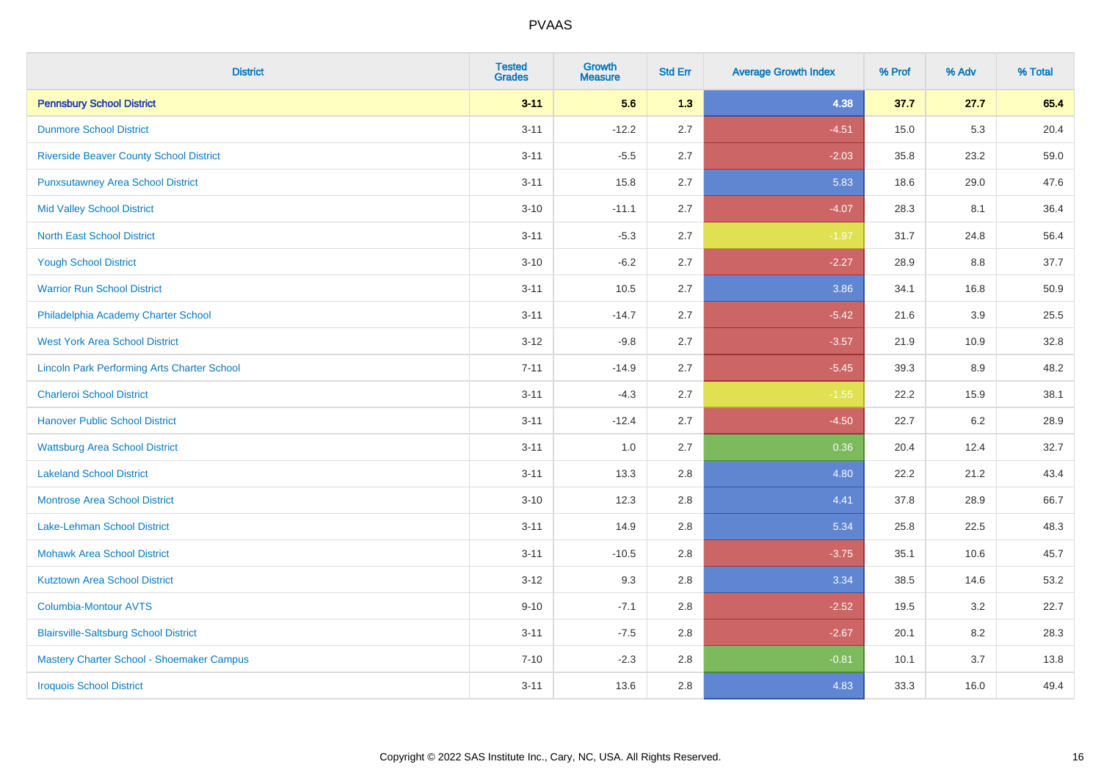| <b>District</b>                                    | <b>Tested</b><br><b>Grades</b> | <b>Growth</b><br><b>Measure</b> | <b>Std Err</b> | <b>Average Growth Index</b> | % Prof | % Adv | % Total |
|----------------------------------------------------|--------------------------------|---------------------------------|----------------|-----------------------------|--------|-------|---------|
| <b>Pennsbury School District</b>                   | $3 - 11$                       | 5.6                             | 1.3            | 4.38                        | 37.7   | 27.7  | 65.4    |
| <b>Dunmore School District</b>                     | $3 - 11$                       | $-12.2$                         | 2.7            | $-4.51$                     | 15.0   | 5.3   | 20.4    |
| <b>Riverside Beaver County School District</b>     | $3 - 11$                       | $-5.5$                          | 2.7            | $-2.03$                     | 35.8   | 23.2  | 59.0    |
| <b>Punxsutawney Area School District</b>           | $3 - 11$                       | 15.8                            | 2.7            | 5.83                        | 18.6   | 29.0  | 47.6    |
| <b>Mid Valley School District</b>                  | $3 - 10$                       | $-11.1$                         | 2.7            | $-4.07$                     | 28.3   | 8.1   | 36.4    |
| <b>North East School District</b>                  | $3 - 11$                       | $-5.3$                          | 2.7            | $-1.97$                     | 31.7   | 24.8  | 56.4    |
| <b>Yough School District</b>                       | $3 - 10$                       | $-6.2$                          | 2.7            | $-2.27$                     | 28.9   | 8.8   | 37.7    |
| <b>Warrior Run School District</b>                 | $3 - 11$                       | 10.5                            | 2.7            | 3.86                        | 34.1   | 16.8  | 50.9    |
| Philadelphia Academy Charter School                | $3 - 11$                       | $-14.7$                         | 2.7            | $-5.42$                     | 21.6   | 3.9   | 25.5    |
| <b>West York Area School District</b>              | $3 - 12$                       | $-9.8$                          | 2.7            | $-3.57$                     | 21.9   | 10.9  | 32.8    |
| <b>Lincoln Park Performing Arts Charter School</b> | $7 - 11$                       | $-14.9$                         | 2.7            | $-5.45$                     | 39.3   | 8.9   | 48.2    |
| <b>Charleroi School District</b>                   | $3 - 11$                       | $-4.3$                          | 2.7            | $-1.55$                     | 22.2   | 15.9  | 38.1    |
| <b>Hanover Public School District</b>              | $3 - 11$                       | $-12.4$                         | 2.7            | $-4.50$                     | 22.7   | 6.2   | 28.9    |
| <b>Wattsburg Area School District</b>              | $3 - 11$                       | 1.0                             | 2.7            | 0.36                        | 20.4   | 12.4  | 32.7    |
| <b>Lakeland School District</b>                    | $3 - 11$                       | 13.3                            | 2.8            | 4.80                        | 22.2   | 21.2  | 43.4    |
| <b>Montrose Area School District</b>               | $3 - 10$                       | 12.3                            | 2.8            | 4.41                        | 37.8   | 28.9  | 66.7    |
| Lake-Lehman School District                        | $3 - 11$                       | 14.9                            | 2.8            | 5.34                        | 25.8   | 22.5  | 48.3    |
| <b>Mohawk Area School District</b>                 | $3 - 11$                       | $-10.5$                         | 2.8            | $-3.75$                     | 35.1   | 10.6  | 45.7    |
| <b>Kutztown Area School District</b>               | $3 - 12$                       | 9.3                             | 2.8            | 3.34                        | 38.5   | 14.6  | 53.2    |
| Columbia-Montour AVTS                              | $9 - 10$                       | $-7.1$                          | 2.8            | $-2.52$                     | 19.5   | 3.2   | 22.7    |
| <b>Blairsville-Saltsburg School District</b>       | $3 - 11$                       | $-7.5$                          | 2.8            | $-2.67$                     | 20.1   | 8.2   | 28.3    |
| Mastery Charter School - Shoemaker Campus          | $7 - 10$                       | $-2.3$                          | 2.8            | $-0.81$                     | 10.1   | 3.7   | 13.8    |
| <b>Iroquois School District</b>                    | $3 - 11$                       | 13.6                            | 2.8            | 4.83                        | 33.3   | 16.0  | 49.4    |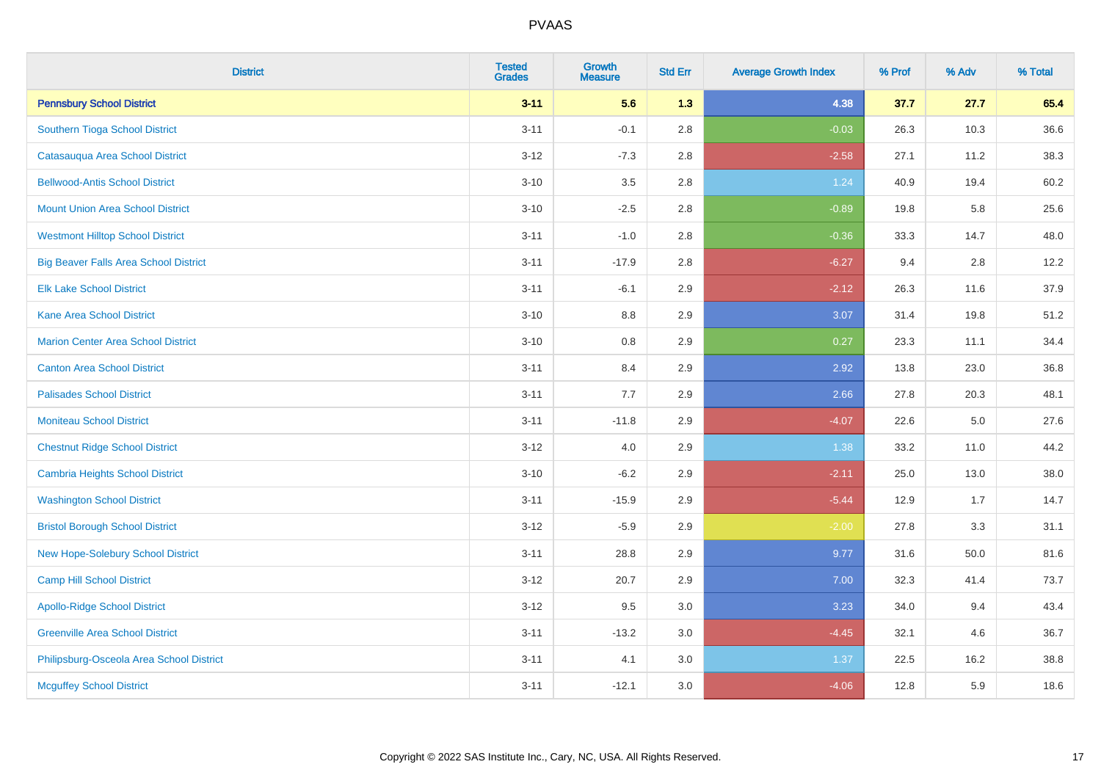| <b>District</b>                              | <b>Tested</b><br><b>Grades</b> | <b>Growth</b><br><b>Measure</b> | <b>Std Err</b> | <b>Average Growth Index</b> | % Prof | % Adv | % Total |
|----------------------------------------------|--------------------------------|---------------------------------|----------------|-----------------------------|--------|-------|---------|
| <b>Pennsbury School District</b>             | $3 - 11$                       | 5.6                             | 1.3            | 4.38                        | 37.7   | 27.7  | 65.4    |
| Southern Tioga School District               | $3 - 11$                       | $-0.1$                          | 2.8            | $-0.03$                     | 26.3   | 10.3  | 36.6    |
| Catasauqua Area School District              | $3 - 12$                       | $-7.3$                          | 2.8            | $-2.58$                     | 27.1   | 11.2  | 38.3    |
| <b>Bellwood-Antis School District</b>        | $3 - 10$                       | $3.5\,$                         | 2.8            | 1.24                        | 40.9   | 19.4  | 60.2    |
| <b>Mount Union Area School District</b>      | $3 - 10$                       | $-2.5$                          | 2.8            | $-0.89$                     | 19.8   | 5.8   | 25.6    |
| <b>Westmont Hilltop School District</b>      | $3 - 11$                       | $-1.0$                          | 2.8            | $-0.36$                     | 33.3   | 14.7  | 48.0    |
| <b>Big Beaver Falls Area School District</b> | $3 - 11$                       | $-17.9$                         | 2.8            | $-6.27$                     | 9.4    | 2.8   | 12.2    |
| <b>Elk Lake School District</b>              | $3 - 11$                       | $-6.1$                          | 2.9            | $-2.12$                     | 26.3   | 11.6  | 37.9    |
| <b>Kane Area School District</b>             | $3 - 10$                       | 8.8                             | 2.9            | 3.07                        | 31.4   | 19.8  | 51.2    |
| <b>Marion Center Area School District</b>    | $3 - 10$                       | 0.8                             | 2.9            | 0.27                        | 23.3   | 11.1  | 34.4    |
| <b>Canton Area School District</b>           | $3 - 11$                       | 8.4                             | 2.9            | 2.92                        | 13.8   | 23.0  | 36.8    |
| <b>Palisades School District</b>             | $3 - 11$                       | 7.7                             | 2.9            | 2.66                        | 27.8   | 20.3  | 48.1    |
| <b>Moniteau School District</b>              | $3 - 11$                       | $-11.8$                         | 2.9            | $-4.07$                     | 22.6   | 5.0   | 27.6    |
| <b>Chestnut Ridge School District</b>        | $3 - 12$                       | 4.0                             | 2.9            | 1.38                        | 33.2   | 11.0  | 44.2    |
| <b>Cambria Heights School District</b>       | $3 - 10$                       | $-6.2$                          | 2.9            | $-2.11$                     | 25.0   | 13.0  | 38.0    |
| <b>Washington School District</b>            | $3 - 11$                       | $-15.9$                         | 2.9            | $-5.44$                     | 12.9   | 1.7   | 14.7    |
| <b>Bristol Borough School District</b>       | $3 - 12$                       | $-5.9$                          | 2.9            | $-2.00$                     | 27.8   | 3.3   | 31.1    |
| New Hope-Solebury School District            | $3 - 11$                       | 28.8                            | 2.9            | 9.77                        | 31.6   | 50.0  | 81.6    |
| <b>Camp Hill School District</b>             | $3 - 12$                       | 20.7                            | 2.9            | 7.00                        | 32.3   | 41.4  | 73.7    |
| <b>Apollo-Ridge School District</b>          | $3-12$                         | 9.5                             | 3.0            | 3.23                        | 34.0   | 9.4   | 43.4    |
| <b>Greenville Area School District</b>       | $3 - 11$                       | $-13.2$                         | 3.0            | $-4.45$                     | 32.1   | 4.6   | 36.7    |
| Philipsburg-Osceola Area School District     | $3 - 11$                       | 4.1                             | 3.0            | 1.37                        | 22.5   | 16.2  | 38.8    |
| <b>Mcguffey School District</b>              | $3 - 11$                       | $-12.1$                         | 3.0            | $-4.06$                     | 12.8   | 5.9   | 18.6    |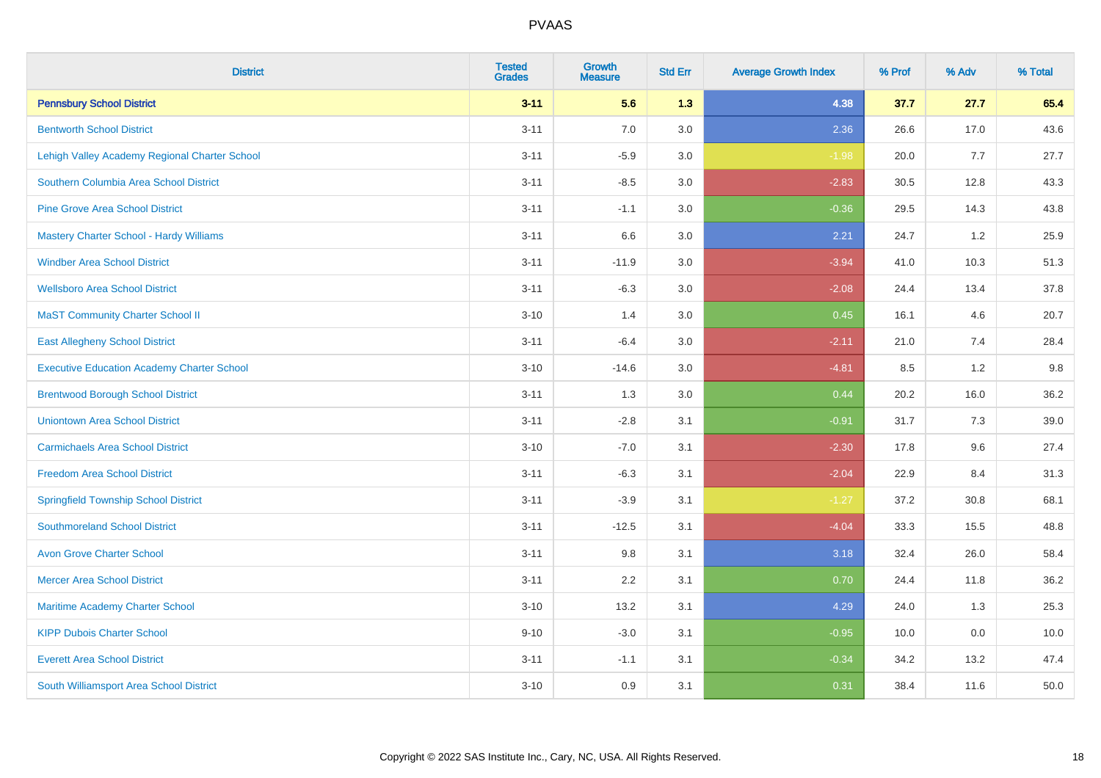| <b>District</b>                                   | <b>Tested</b><br><b>Grades</b> | <b>Growth</b><br><b>Measure</b> | <b>Std Err</b> | <b>Average Growth Index</b> | % Prof | % Adv | % Total |
|---------------------------------------------------|--------------------------------|---------------------------------|----------------|-----------------------------|--------|-------|---------|
| <b>Pennsbury School District</b>                  | $3 - 11$                       | 5.6                             | 1.3            | 4.38                        | 37.7   | 27.7  | 65.4    |
| <b>Bentworth School District</b>                  | $3 - 11$                       | $7.0$                           | 3.0            | 2.36                        | 26.6   | 17.0  | 43.6    |
| Lehigh Valley Academy Regional Charter School     | $3 - 11$                       | $-5.9$                          | 3.0            | $-1.98$                     | 20.0   | 7.7   | 27.7    |
| Southern Columbia Area School District            | $3 - 11$                       | $-8.5$                          | 3.0            | $-2.83$                     | 30.5   | 12.8  | 43.3    |
| <b>Pine Grove Area School District</b>            | $3 - 11$                       | $-1.1$                          | 3.0            | $-0.36$                     | 29.5   | 14.3  | 43.8    |
| Mastery Charter School - Hardy Williams           | $3 - 11$                       | 6.6                             | 3.0            | 2.21                        | 24.7   | 1.2   | 25.9    |
| <b>Windber Area School District</b>               | $3 - 11$                       | $-11.9$                         | 3.0            | $-3.94$                     | 41.0   | 10.3  | 51.3    |
| <b>Wellsboro Area School District</b>             | $3 - 11$                       | $-6.3$                          | 3.0            | $-2.08$                     | 24.4   | 13.4  | 37.8    |
| <b>MaST Community Charter School II</b>           | $3 - 10$                       | 1.4                             | 3.0            | 0.45                        | 16.1   | 4.6   | 20.7    |
| <b>East Allegheny School District</b>             | $3 - 11$                       | $-6.4$                          | 3.0            | $-2.11$                     | 21.0   | 7.4   | 28.4    |
| <b>Executive Education Academy Charter School</b> | $3 - 10$                       | $-14.6$                         | 3.0            | $-4.81$                     | 8.5    | 1.2   | 9.8     |
| <b>Brentwood Borough School District</b>          | $3 - 11$                       | 1.3                             | 3.0            | 0.44                        | 20.2   | 16.0  | 36.2    |
| <b>Uniontown Area School District</b>             | $3 - 11$                       | $-2.8$                          | 3.1            | $-0.91$                     | 31.7   | 7.3   | 39.0    |
| <b>Carmichaels Area School District</b>           | $3 - 10$                       | $-7.0$                          | 3.1            | $-2.30$                     | 17.8   | 9.6   | 27.4    |
| <b>Freedom Area School District</b>               | $3 - 11$                       | $-6.3$                          | 3.1            | $-2.04$                     | 22.9   | 8.4   | 31.3    |
| <b>Springfield Township School District</b>       | $3 - 11$                       | $-3.9$                          | 3.1            | $-1.27$                     | 37.2   | 30.8  | 68.1    |
| <b>Southmoreland School District</b>              | $3 - 11$                       | $-12.5$                         | 3.1            | $-4.04$                     | 33.3   | 15.5  | 48.8    |
| <b>Avon Grove Charter School</b>                  | $3 - 11$                       | 9.8                             | 3.1            | 3.18                        | 32.4   | 26.0  | 58.4    |
| <b>Mercer Area School District</b>                | $3 - 11$                       | 2.2                             | 3.1            | 0.70                        | 24.4   | 11.8  | 36.2    |
| Maritime Academy Charter School                   | $3 - 10$                       | 13.2                            | 3.1            | 4.29                        | 24.0   | 1.3   | 25.3    |
| <b>KIPP Dubois Charter School</b>                 | $9 - 10$                       | $-3.0$                          | 3.1            | $-0.95$                     | 10.0   | 0.0   | 10.0    |
| <b>Everett Area School District</b>               | $3 - 11$                       | $-1.1$                          | 3.1            | $-0.34$                     | 34.2   | 13.2  | 47.4    |
| South Williamsport Area School District           | $3 - 10$                       | 0.9                             | 3.1            | 0.31                        | 38.4   | 11.6  | 50.0    |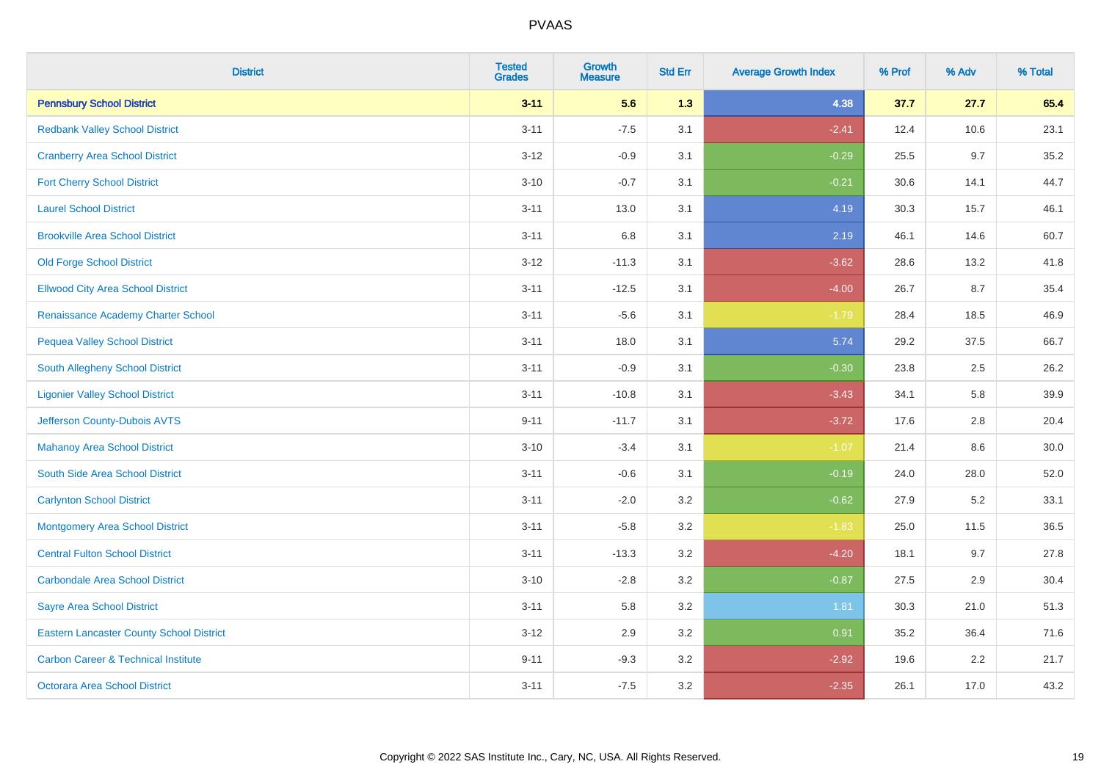| <b>District</b>                                 | <b>Tested</b><br><b>Grades</b> | <b>Growth</b><br><b>Measure</b> | <b>Std Err</b> | <b>Average Growth Index</b> | % Prof | % Adv | % Total |
|-------------------------------------------------|--------------------------------|---------------------------------|----------------|-----------------------------|--------|-------|---------|
| <b>Pennsbury School District</b>                | $3 - 11$                       | 5.6                             | 1.3            | 4.38                        | 37.7   | 27.7  | 65.4    |
| <b>Redbank Valley School District</b>           | $3 - 11$                       | $-7.5$                          | 3.1            | $-2.41$                     | 12.4   | 10.6  | 23.1    |
| <b>Cranberry Area School District</b>           | $3 - 12$                       | $-0.9$                          | 3.1            | $-0.29$                     | 25.5   | 9.7   | 35.2    |
| <b>Fort Cherry School District</b>              | $3 - 10$                       | $-0.7$                          | 3.1            | $-0.21$                     | 30.6   | 14.1  | 44.7    |
| <b>Laurel School District</b>                   | $3 - 11$                       | 13.0                            | 3.1            | 4.19                        | 30.3   | 15.7  | 46.1    |
| <b>Brookville Area School District</b>          | $3 - 11$                       | 6.8                             | 3.1            | 2.19                        | 46.1   | 14.6  | 60.7    |
| <b>Old Forge School District</b>                | $3 - 12$                       | $-11.3$                         | 3.1            | $-3.62$                     | 28.6   | 13.2  | 41.8    |
| <b>Ellwood City Area School District</b>        | $3 - 11$                       | $-12.5$                         | 3.1            | $-4.00$                     | 26.7   | 8.7   | 35.4    |
| Renaissance Academy Charter School              | $3 - 11$                       | $-5.6$                          | 3.1            | $-1.79$                     | 28.4   | 18.5  | 46.9    |
| <b>Pequea Valley School District</b>            | $3 - 11$                       | 18.0                            | 3.1            | 5.74                        | 29.2   | 37.5  | 66.7    |
| South Allegheny School District                 | $3 - 11$                       | $-0.9$                          | 3.1            | $-0.30$                     | 23.8   | 2.5   | 26.2    |
| <b>Ligonier Valley School District</b>          | $3 - 11$                       | $-10.8$                         | 3.1            | $-3.43$                     | 34.1   | 5.8   | 39.9    |
| Jefferson County-Dubois AVTS                    | $9 - 11$                       | $-11.7$                         | 3.1            | $-3.72$                     | 17.6   | 2.8   | 20.4    |
| <b>Mahanoy Area School District</b>             | $3 - 10$                       | $-3.4$                          | 3.1            | $-1.07$                     | 21.4   | 8.6   | 30.0    |
| South Side Area School District                 | $3 - 11$                       | $-0.6$                          | 3.1            | $-0.19$                     | 24.0   | 28.0  | 52.0    |
| <b>Carlynton School District</b>                | $3 - 11$                       | $-2.0$                          | 3.2            | $-0.62$                     | 27.9   | 5.2   | 33.1    |
| <b>Montgomery Area School District</b>          | $3 - 11$                       | $-5.8$                          | 3.2            | $-1.83$                     | 25.0   | 11.5  | 36.5    |
| <b>Central Fulton School District</b>           | $3 - 11$                       | $-13.3$                         | 3.2            | $-4.20$                     | 18.1   | 9.7   | 27.8    |
| <b>Carbondale Area School District</b>          | $3 - 10$                       | $-2.8$                          | 3.2            | $-0.87$                     | 27.5   | 2.9   | 30.4    |
| <b>Sayre Area School District</b>               | $3 - 11$                       | 5.8                             | 3.2            | 1.81                        | 30.3   | 21.0  | 51.3    |
| <b>Eastern Lancaster County School District</b> | $3 - 12$                       | 2.9                             | 3.2            | 0.91                        | 35.2   | 36.4  | 71.6    |
| <b>Carbon Career &amp; Technical Institute</b>  | $9 - 11$                       | $-9.3$                          | 3.2            | $-2.92$                     | 19.6   | 2.2   | 21.7    |
| Octorara Area School District                   | $3 - 11$                       | $-7.5$                          | 3.2            | $-2.35$                     | 26.1   | 17.0  | 43.2    |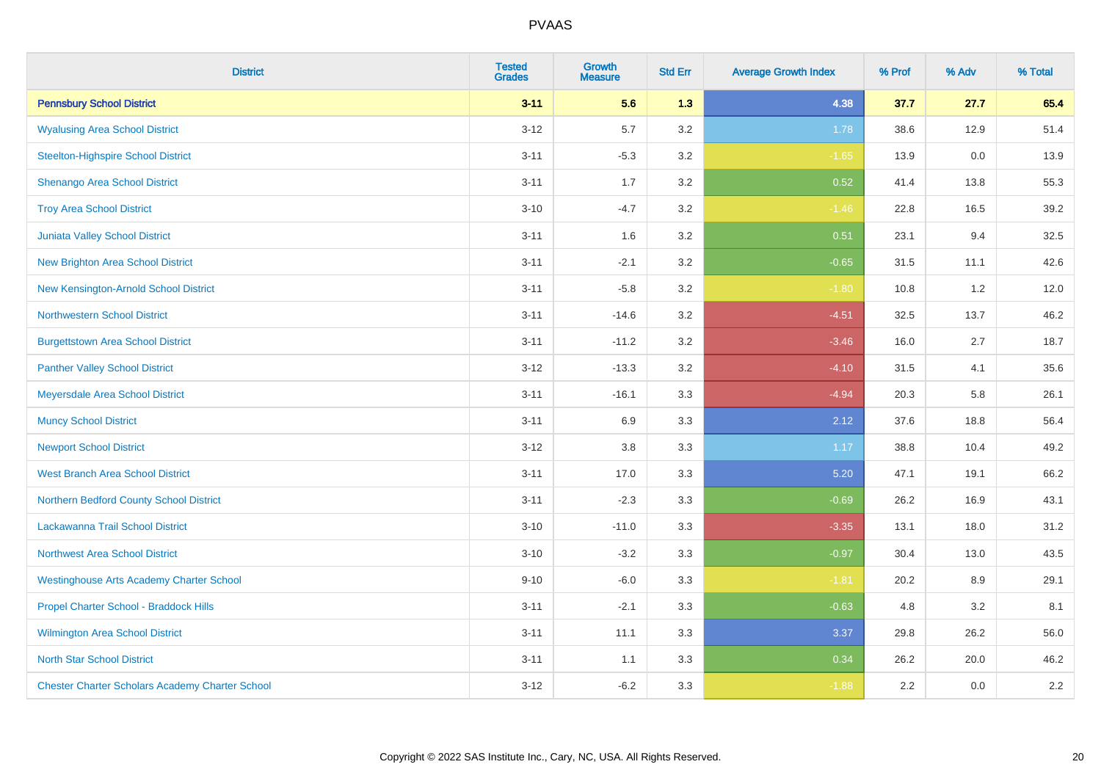| <b>District</b>                                        | <b>Tested</b><br><b>Grades</b> | <b>Growth</b><br><b>Measure</b> | <b>Std Err</b> | <b>Average Growth Index</b> | % Prof | % Adv | % Total |
|--------------------------------------------------------|--------------------------------|---------------------------------|----------------|-----------------------------|--------|-------|---------|
| <b>Pennsbury School District</b>                       | $3 - 11$                       | 5.6                             | 1.3            | 4.38                        | 37.7   | 27.7  | 65.4    |
| <b>Wyalusing Area School District</b>                  | $3 - 12$                       | 5.7                             | 3.2            | 1.78                        | 38.6   | 12.9  | 51.4    |
| <b>Steelton-Highspire School District</b>              | $3 - 11$                       | $-5.3$                          | 3.2            | $-1.65$                     | 13.9   | 0.0   | 13.9    |
| <b>Shenango Area School District</b>                   | $3 - 11$                       | 1.7                             | 3.2            | 0.52                        | 41.4   | 13.8  | 55.3    |
| <b>Troy Area School District</b>                       | $3 - 10$                       | $-4.7$                          | 3.2            | $-1.46$                     | 22.8   | 16.5  | 39.2    |
| Juniata Valley School District                         | $3 - 11$                       | 1.6                             | 3.2            | 0.51                        | 23.1   | 9.4   | 32.5    |
| <b>New Brighton Area School District</b>               | $3 - 11$                       | $-2.1$                          | 3.2            | $-0.65$                     | 31.5   | 11.1  | 42.6    |
| New Kensington-Arnold School District                  | $3 - 11$                       | $-5.8$                          | 3.2            | $-1.80$                     | 10.8   | 1.2   | 12.0    |
| <b>Northwestern School District</b>                    | $3 - 11$                       | $-14.6$                         | 3.2            | $-4.51$                     | 32.5   | 13.7  | 46.2    |
| <b>Burgettstown Area School District</b>               | $3 - 11$                       | $-11.2$                         | 3.2            | $-3.46$                     | 16.0   | 2.7   | 18.7    |
| <b>Panther Valley School District</b>                  | $3 - 12$                       | $-13.3$                         | 3.2            | $-4.10$                     | 31.5   | 4.1   | 35.6    |
| Meyersdale Area School District                        | $3 - 11$                       | $-16.1$                         | 3.3            | $-4.94$                     | 20.3   | 5.8   | 26.1    |
| <b>Muncy School District</b>                           | $3 - 11$                       | 6.9                             | 3.3            | 2.12                        | 37.6   | 18.8  | 56.4    |
| <b>Newport School District</b>                         | $3 - 12$                       | 3.8                             | 3.3            | 1.17                        | 38.8   | 10.4  | 49.2    |
| <b>West Branch Area School District</b>                | $3 - 11$                       | 17.0                            | 3.3            | 5.20                        | 47.1   | 19.1  | 66.2    |
| Northern Bedford County School District                | $3 - 11$                       | $-2.3$                          | 3.3            | $-0.69$                     | 26.2   | 16.9  | 43.1    |
| Lackawanna Trail School District                       | $3 - 10$                       | $-11.0$                         | 3.3            | $-3.35$                     | 13.1   | 18.0  | 31.2    |
| Northwest Area School District                         | $3 - 10$                       | $-3.2$                          | 3.3            | $-0.97$                     | 30.4   | 13.0  | 43.5    |
| <b>Westinghouse Arts Academy Charter School</b>        | $9 - 10$                       | $-6.0$                          | 3.3            | $-1.81$                     | 20.2   | 8.9   | 29.1    |
| Propel Charter School - Braddock Hills                 | $3 - 11$                       | $-2.1$                          | 3.3            | $-0.63$                     | 4.8    | 3.2   | 8.1     |
| Wilmington Area School District                        | $3 - 11$                       | 11.1                            | 3.3            | 3.37                        | 29.8   | 26.2  | 56.0    |
| <b>North Star School District</b>                      | $3 - 11$                       | 1.1                             | 3.3            | 0.34                        | 26.2   | 20.0  | 46.2    |
| <b>Chester Charter Scholars Academy Charter School</b> | $3 - 12$                       | $-6.2$                          | 3.3            | $-1.88$                     | 2.2    | 0.0   | 2.2     |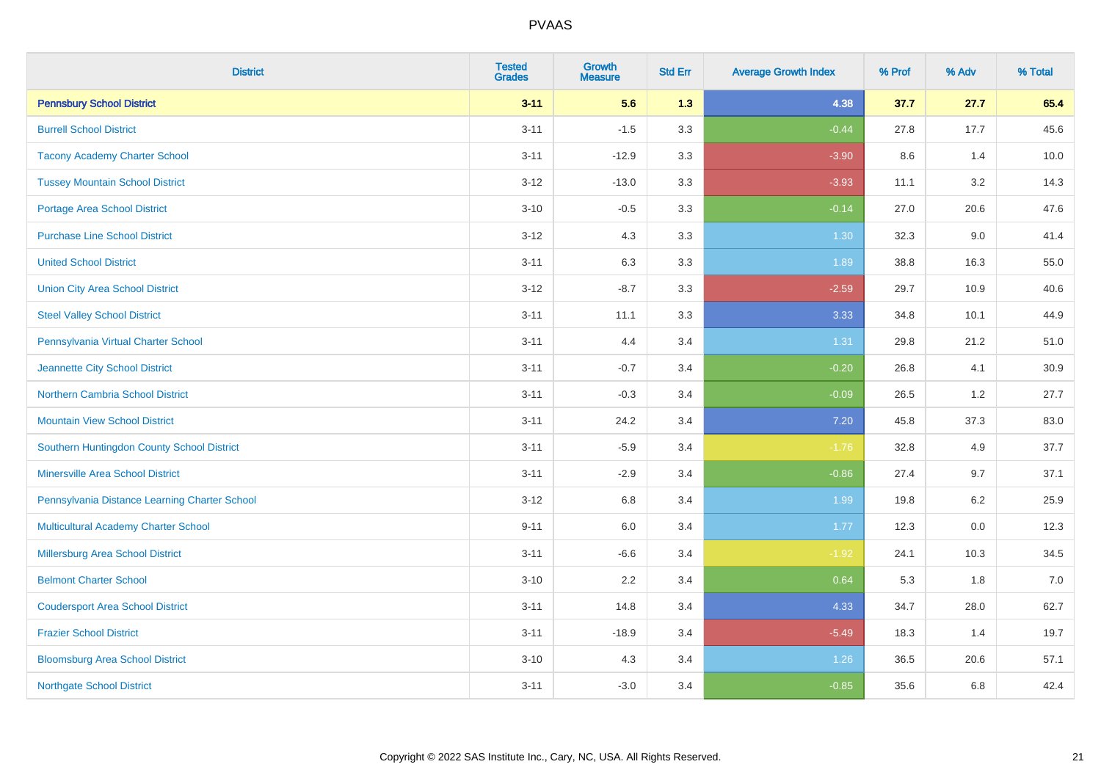| <b>District</b>                               | <b>Tested</b><br><b>Grades</b> | <b>Growth</b><br><b>Measure</b> | <b>Std Err</b> | <b>Average Growth Index</b> | % Prof | % Adv | % Total |
|-----------------------------------------------|--------------------------------|---------------------------------|----------------|-----------------------------|--------|-------|---------|
| <b>Pennsbury School District</b>              | $3 - 11$                       | 5.6                             | 1.3            | 4.38                        | 37.7   | 27.7  | 65.4    |
| <b>Burrell School District</b>                | $3 - 11$                       | $-1.5$                          | 3.3            | $-0.44$                     | 27.8   | 17.7  | 45.6    |
| <b>Tacony Academy Charter School</b>          | $3 - 11$                       | $-12.9$                         | 3.3            | $-3.90$                     | 8.6    | 1.4   | 10.0    |
| <b>Tussey Mountain School District</b>        | $3 - 12$                       | $-13.0$                         | 3.3            | $-3.93$                     | 11.1   | 3.2   | 14.3    |
| <b>Portage Area School District</b>           | $3 - 10$                       | $-0.5$                          | 3.3            | $-0.14$                     | 27.0   | 20.6  | 47.6    |
| <b>Purchase Line School District</b>          | $3 - 12$                       | 4.3                             | 3.3            | 1.30                        | 32.3   | 9.0   | 41.4    |
| <b>United School District</b>                 | $3 - 11$                       | 6.3                             | 3.3            | 1.89                        | 38.8   | 16.3  | 55.0    |
| <b>Union City Area School District</b>        | $3 - 12$                       | $-8.7$                          | 3.3            | $-2.59$                     | 29.7   | 10.9  | 40.6    |
| <b>Steel Valley School District</b>           | $3 - 11$                       | 11.1                            | 3.3            | 3.33                        | 34.8   | 10.1  | 44.9    |
| Pennsylvania Virtual Charter School           | $3 - 11$                       | 4.4                             | 3.4            | 1.31                        | 29.8   | 21.2  | 51.0    |
| Jeannette City School District                | $3 - 11$                       | $-0.7$                          | 3.4            | $-0.20$                     | 26.8   | 4.1   | 30.9    |
| <b>Northern Cambria School District</b>       | $3 - 11$                       | $-0.3$                          | 3.4            | $-0.09$                     | 26.5   | 1.2   | 27.7    |
| <b>Mountain View School District</b>          | $3 - 11$                       | 24.2                            | 3.4            | 7.20                        | 45.8   | 37.3  | 83.0    |
| Southern Huntingdon County School District    | $3 - 11$                       | $-5.9$                          | 3.4            | $-1.76$                     | 32.8   | 4.9   | 37.7    |
| <b>Minersville Area School District</b>       | $3 - 11$                       | $-2.9$                          | 3.4            | $-0.86$                     | 27.4   | 9.7   | 37.1    |
| Pennsylvania Distance Learning Charter School | $3 - 12$                       | 6.8                             | 3.4            | 1.99                        | 19.8   | 6.2   | 25.9    |
| <b>Multicultural Academy Charter School</b>   | $9 - 11$                       | 6.0                             | 3.4            | 1.77                        | 12.3   | 0.0   | 12.3    |
| Millersburg Area School District              | $3 - 11$                       | $-6.6$                          | 3.4            | $-1.92$                     | 24.1   | 10.3  | 34.5    |
| <b>Belmont Charter School</b>                 | $3 - 10$                       | 2.2                             | 3.4            | 0.64                        | 5.3    | 1.8   | 7.0     |
| <b>Coudersport Area School District</b>       | $3 - 11$                       | 14.8                            | 3.4            | 4.33                        | 34.7   | 28.0  | 62.7    |
| <b>Frazier School District</b>                | $3 - 11$                       | $-18.9$                         | 3.4            | $-5.49$                     | 18.3   | 1.4   | 19.7    |
| <b>Bloomsburg Area School District</b>        | $3 - 10$                       | 4.3                             | 3.4            | 1.26                        | 36.5   | 20.6  | 57.1    |
| <b>Northgate School District</b>              | $3 - 11$                       | $-3.0$                          | 3.4            | $-0.85$                     | 35.6   | 6.8   | 42.4    |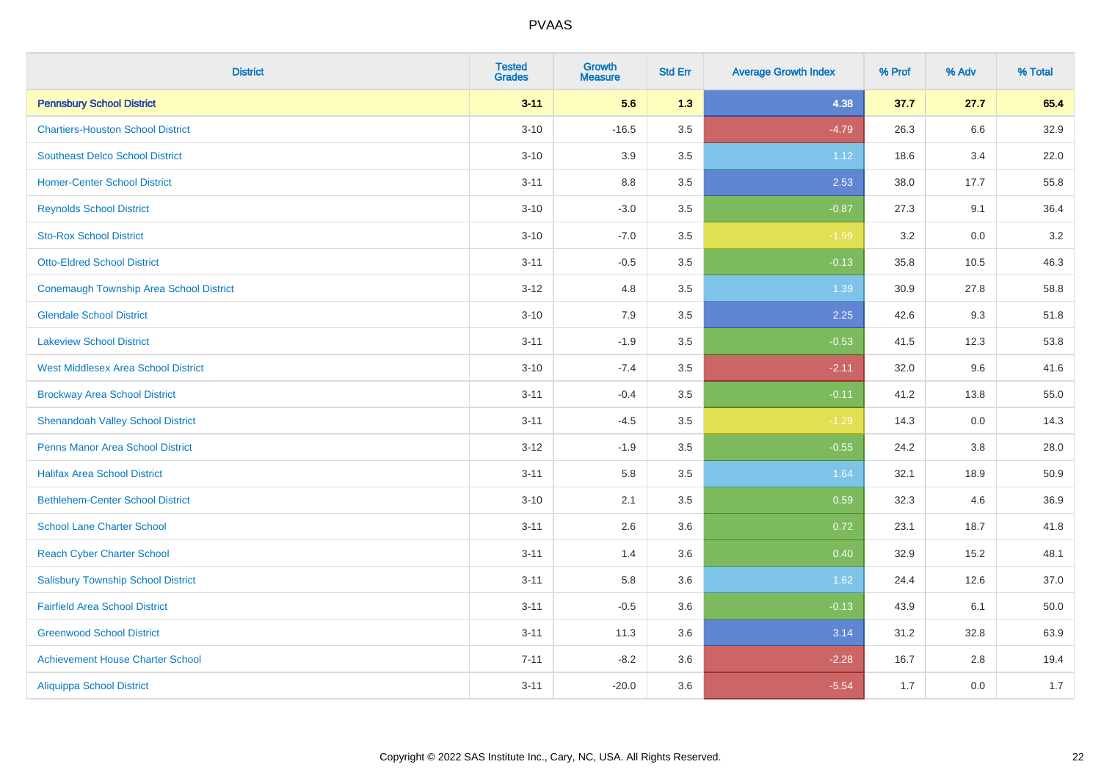| <b>District</b>                            | <b>Tested</b><br><b>Grades</b> | <b>Growth</b><br><b>Measure</b> | <b>Std Err</b> | <b>Average Growth Index</b> | % Prof | % Adv | % Total |
|--------------------------------------------|--------------------------------|---------------------------------|----------------|-----------------------------|--------|-------|---------|
| <b>Pennsbury School District</b>           | $3 - 11$                       | 5.6                             | 1.3            | 4.38                        | 37.7   | 27.7  | 65.4    |
| <b>Chartiers-Houston School District</b>   | $3 - 10$                       | $-16.5$                         | 3.5            | $-4.79$                     | 26.3   | 6.6   | 32.9    |
| <b>Southeast Delco School District</b>     | $3 - 10$                       | 3.9                             | 3.5            | 1.12                        | 18.6   | 3.4   | 22.0    |
| <b>Homer-Center School District</b>        | $3 - 11$                       | $8.8\,$                         | 3.5            | 2.53                        | 38.0   | 17.7  | 55.8    |
| <b>Reynolds School District</b>            | $3 - 10$                       | $-3.0$                          | 3.5            | $-0.87$                     | 27.3   | 9.1   | 36.4    |
| <b>Sto-Rox School District</b>             | $3 - 10$                       | $-7.0$                          | 3.5            | $-1.99$                     | 3.2    | 0.0   | 3.2     |
| <b>Otto-Eldred School District</b>         | $3 - 11$                       | $-0.5$                          | 3.5            | $-0.13$                     | 35.8   | 10.5  | 46.3    |
| Conemaugh Township Area School District    | $3 - 12$                       | 4.8                             | 3.5            | 1.39                        | 30.9   | 27.8  | 58.8    |
| <b>Glendale School District</b>            | $3 - 10$                       | 7.9                             | 3.5            | 2.25                        | 42.6   | 9.3   | 51.8    |
| <b>Lakeview School District</b>            | $3 - 11$                       | $-1.9$                          | 3.5            | $-0.53$                     | 41.5   | 12.3  | 53.8    |
| <b>West Middlesex Area School District</b> | $3 - 10$                       | $-7.4$                          | 3.5            | $-2.11$                     | 32.0   | 9.6   | 41.6    |
| <b>Brockway Area School District</b>       | $3 - 11$                       | $-0.4$                          | 3.5            | $-0.11$                     | 41.2   | 13.8  | 55.0    |
| <b>Shenandoah Valley School District</b>   | $3 - 11$                       | $-4.5$                          | 3.5            | $-1.29$                     | 14.3   | 0.0   | 14.3    |
| <b>Penns Manor Area School District</b>    | $3 - 12$                       | $-1.9$                          | 3.5            | $-0.55$                     | 24.2   | 3.8   | 28.0    |
| <b>Halifax Area School District</b>        | $3 - 11$                       | 5.8                             | 3.5            | 1.64                        | 32.1   | 18.9  | 50.9    |
| <b>Bethlehem-Center School District</b>    | $3 - 10$                       | 2.1                             | 3.5            | 0.59                        | 32.3   | 4.6   | 36.9    |
| <b>School Lane Charter School</b>          | $3 - 11$                       | 2.6                             | 3.6            | 0.72                        | 23.1   | 18.7  | 41.8    |
| <b>Reach Cyber Charter School</b>          | $3 - 11$                       | 1.4                             | 3.6            | 0.40                        | 32.9   | 15.2  | 48.1    |
| <b>Salisbury Township School District</b>  | $3 - 11$                       | 5.8                             | 3.6            | 1.62                        | 24.4   | 12.6  | 37.0    |
| <b>Fairfield Area School District</b>      | $3 - 11$                       | $-0.5$                          | 3.6            | $-0.13$                     | 43.9   | 6.1   | 50.0    |
| <b>Greenwood School District</b>           | $3 - 11$                       | 11.3                            | 3.6            | 3.14                        | 31.2   | 32.8  | 63.9    |
| <b>Achievement House Charter School</b>    | $7 - 11$                       | $-8.2$                          | 3.6            | $-2.28$                     | 16.7   | 2.8   | 19.4    |
| <b>Aliquippa School District</b>           | $3 - 11$                       | $-20.0$                         | 3.6            | $-5.54$                     | 1.7    | 0.0   | 1.7     |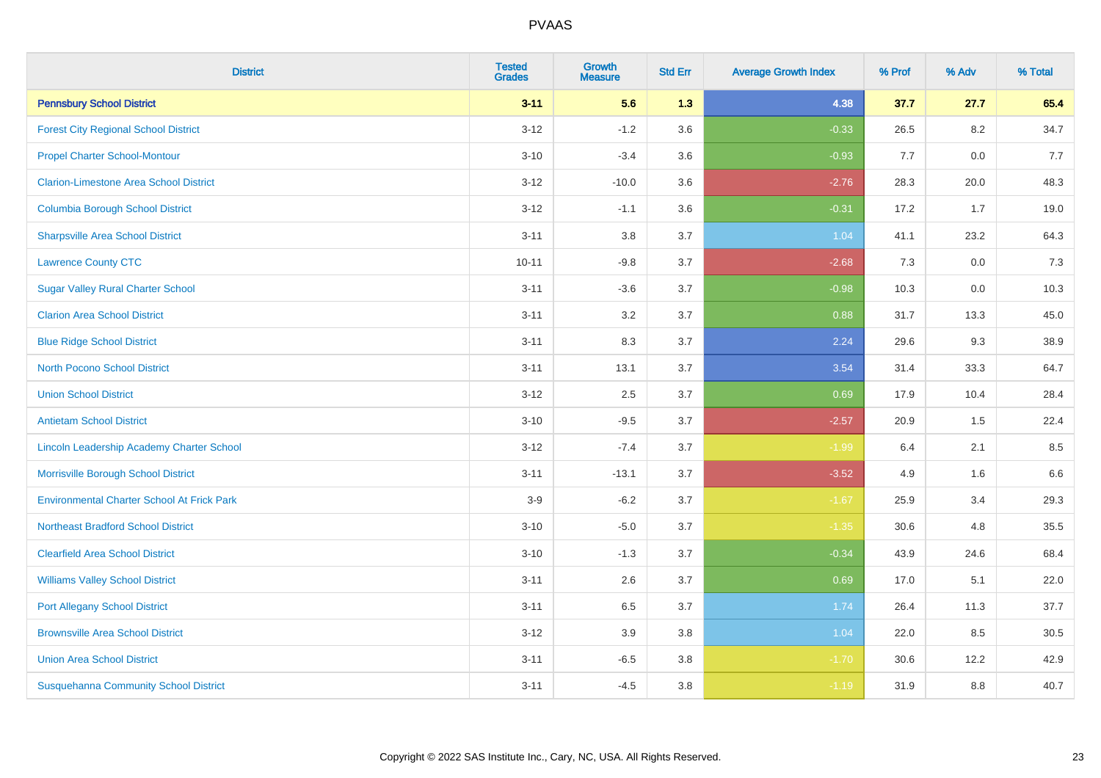| <b>District</b>                                   | <b>Tested</b><br><b>Grades</b> | <b>Growth</b><br><b>Measure</b> | <b>Std Err</b> | <b>Average Growth Index</b> | % Prof | % Adv | % Total |
|---------------------------------------------------|--------------------------------|---------------------------------|----------------|-----------------------------|--------|-------|---------|
| <b>Pennsbury School District</b>                  | $3 - 11$                       | 5.6                             | 1.3            | 4.38                        | 37.7   | 27.7  | 65.4    |
| <b>Forest City Regional School District</b>       | $3 - 12$                       | $-1.2$                          | 3.6            | $-0.33$                     | 26.5   | 8.2   | 34.7    |
| <b>Propel Charter School-Montour</b>              | $3 - 10$                       | $-3.4$                          | 3.6            | $-0.93$                     | 7.7    | 0.0   | 7.7     |
| <b>Clarion-Limestone Area School District</b>     | $3 - 12$                       | $-10.0$                         | 3.6            | $-2.76$                     | 28.3   | 20.0  | 48.3    |
| <b>Columbia Borough School District</b>           | $3 - 12$                       | $-1.1$                          | 3.6            | $-0.31$                     | 17.2   | 1.7   | 19.0    |
| <b>Sharpsville Area School District</b>           | $3 - 11$                       | $3.8\,$                         | 3.7            | 1.04                        | 41.1   | 23.2  | 64.3    |
| <b>Lawrence County CTC</b>                        | $10 - 11$                      | $-9.8$                          | 3.7            | $-2.68$                     | $7.3$  | 0.0   | 7.3     |
| <b>Sugar Valley Rural Charter School</b>          | $3 - 11$                       | $-3.6$                          | 3.7            | $-0.98$                     | 10.3   | 0.0   | 10.3    |
| <b>Clarion Area School District</b>               | $3 - 11$                       | 3.2                             | 3.7            | 0.88                        | 31.7   | 13.3  | 45.0    |
| <b>Blue Ridge School District</b>                 | $3 - 11$                       | $8.3\,$                         | 3.7            | 2.24                        | 29.6   | 9.3   | 38.9    |
| <b>North Pocono School District</b>               | $3 - 11$                       | 13.1                            | 3.7            | 3.54                        | 31.4   | 33.3  | 64.7    |
| <b>Union School District</b>                      | $3 - 12$                       | 2.5                             | 3.7            | 0.69                        | 17.9   | 10.4  | 28.4    |
| <b>Antietam School District</b>                   | $3 - 10$                       | $-9.5$                          | 3.7            | $-2.57$                     | 20.9   | 1.5   | 22.4    |
| Lincoln Leadership Academy Charter School         | $3 - 12$                       | $-7.4$                          | 3.7            | $-1.99$                     | 6.4    | 2.1   | 8.5     |
| Morrisville Borough School District               | $3 - 11$                       | $-13.1$                         | 3.7            | $-3.52$                     | 4.9    | 1.6   | 6.6     |
| <b>Environmental Charter School At Frick Park</b> | $3-9$                          | $-6.2$                          | 3.7            | $-1.67$                     | 25.9   | 3.4   | 29.3    |
| <b>Northeast Bradford School District</b>         | $3 - 10$                       | $-5.0$                          | 3.7            | $-1.35$                     | 30.6   | 4.8   | 35.5    |
| <b>Clearfield Area School District</b>            | $3 - 10$                       | $-1.3$                          | 3.7            | $-0.34$                     | 43.9   | 24.6  | 68.4    |
| <b>Williams Valley School District</b>            | $3 - 11$                       | 2.6                             | 3.7            | 0.69                        | 17.0   | 5.1   | 22.0    |
| <b>Port Allegany School District</b>              | $3 - 11$                       | 6.5                             | 3.7            | 1.74                        | 26.4   | 11.3  | 37.7    |
| <b>Brownsville Area School District</b>           | $3-12$                         | 3.9                             | 3.8            | 1.04                        | 22.0   | 8.5   | 30.5    |
| <b>Union Area School District</b>                 | $3 - 11$                       | $-6.5$                          | 3.8            | $-1.70$                     | 30.6   | 12.2  | 42.9    |
| <b>Susquehanna Community School District</b>      | $3 - 11$                       | $-4.5$                          | 3.8            | $-1.19$                     | 31.9   | 8.8   | 40.7    |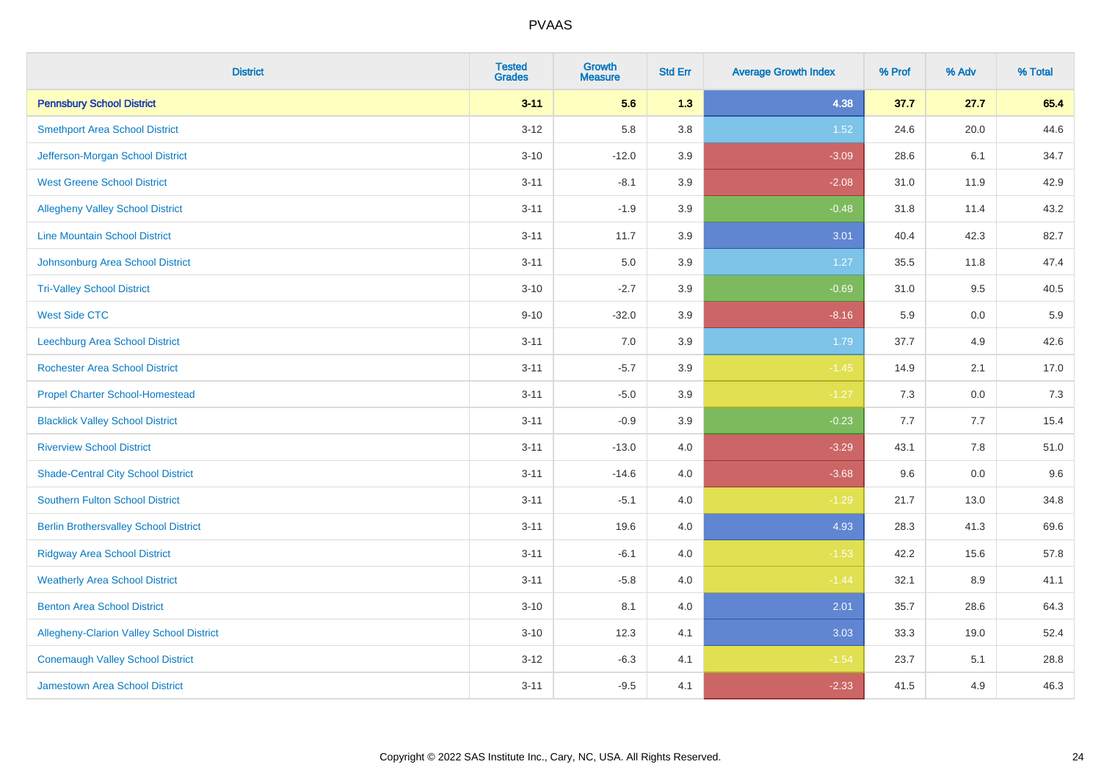| <b>District</b>                              | <b>Tested</b><br><b>Grades</b> | <b>Growth</b><br><b>Measure</b> | <b>Std Err</b> | <b>Average Growth Index</b> | % Prof | % Adv   | % Total |
|----------------------------------------------|--------------------------------|---------------------------------|----------------|-----------------------------|--------|---------|---------|
| <b>Pennsbury School District</b>             | $3 - 11$                       | 5.6                             | 1.3            | 4.38                        | 37.7   | 27.7    | 65.4    |
| <b>Smethport Area School District</b>        | $3 - 12$                       | 5.8                             | 3.8            | 1.52                        | 24.6   | 20.0    | 44.6    |
| Jefferson-Morgan School District             | $3 - 10$                       | $-12.0$                         | 3.9            | $-3.09$                     | 28.6   | 6.1     | 34.7    |
| <b>West Greene School District</b>           | $3 - 11$                       | $-8.1$                          | 3.9            | $-2.08$                     | 31.0   | 11.9    | 42.9    |
| <b>Allegheny Valley School District</b>      | $3 - 11$                       | $-1.9$                          | 3.9            | $-0.48$                     | 31.8   | 11.4    | 43.2    |
| <b>Line Mountain School District</b>         | $3 - 11$                       | 11.7                            | 3.9            | 3.01                        | 40.4   | 42.3    | 82.7    |
| Johnsonburg Area School District             | $3 - 11$                       | 5.0                             | 3.9            | 1.27                        | 35.5   | 11.8    | 47.4    |
| <b>Tri-Valley School District</b>            | $3 - 10$                       | $-2.7$                          | 3.9            | $-0.69$                     | 31.0   | 9.5     | 40.5    |
| <b>West Side CTC</b>                         | $9 - 10$                       | $-32.0$                         | 3.9            | $-8.16$                     | 5.9    | 0.0     | 5.9     |
| <b>Leechburg Area School District</b>        | $3 - 11$                       | 7.0                             | 3.9            | 1.79                        | 37.7   | 4.9     | 42.6    |
| <b>Rochester Area School District</b>        | $3 - 11$                       | $-5.7$                          | 3.9            | $-1.45$                     | 14.9   | 2.1     | 17.0    |
| <b>Propel Charter School-Homestead</b>       | $3 - 11$                       | $-5.0$                          | 3.9            | $-1.27$                     | 7.3    | 0.0     | 7.3     |
| <b>Blacklick Valley School District</b>      | $3 - 11$                       | $-0.9$                          | 3.9            | $-0.23$                     | 7.7    | 7.7     | 15.4    |
| <b>Riverview School District</b>             | $3 - 11$                       | $-13.0$                         | $4.0\,$        | $-3.29$                     | 43.1   | $7.8\,$ | 51.0    |
| <b>Shade-Central City School District</b>    | $3 - 11$                       | $-14.6$                         | 4.0            | $-3.68$                     | 9.6    | 0.0     | 9.6     |
| <b>Southern Fulton School District</b>       | $3 - 11$                       | $-5.1$                          | $4.0\,$        | $-1.29$                     | 21.7   | 13.0    | 34.8    |
| <b>Berlin Brothersvalley School District</b> | $3 - 11$                       | 19.6                            | 4.0            | 4.93                        | 28.3   | 41.3    | 69.6    |
| <b>Ridgway Area School District</b>          | $3 - 11$                       | $-6.1$                          | 4.0            | $-1.53$                     | 42.2   | 15.6    | 57.8    |
| <b>Weatherly Area School District</b>        | $3 - 11$                       | $-5.8$                          | $4.0\,$        | $-1.44$                     | 32.1   | $8.9\,$ | 41.1    |
| <b>Benton Area School District</b>           | $3 - 10$                       | 8.1                             | $4.0\,$        | 2.01                        | 35.7   | 28.6    | 64.3    |
| Allegheny-Clarion Valley School District     | $3 - 10$                       | 12.3                            | 4.1            | 3.03                        | 33.3   | 19.0    | 52.4    |
| <b>Conemaugh Valley School District</b>      | $3 - 12$                       | $-6.3$                          | 4.1            | $-1.54$                     | 23.7   | 5.1     | 28.8    |
| Jamestown Area School District               | $3 - 11$                       | $-9.5$                          | 4.1            | $-2.33$                     | 41.5   | 4.9     | 46.3    |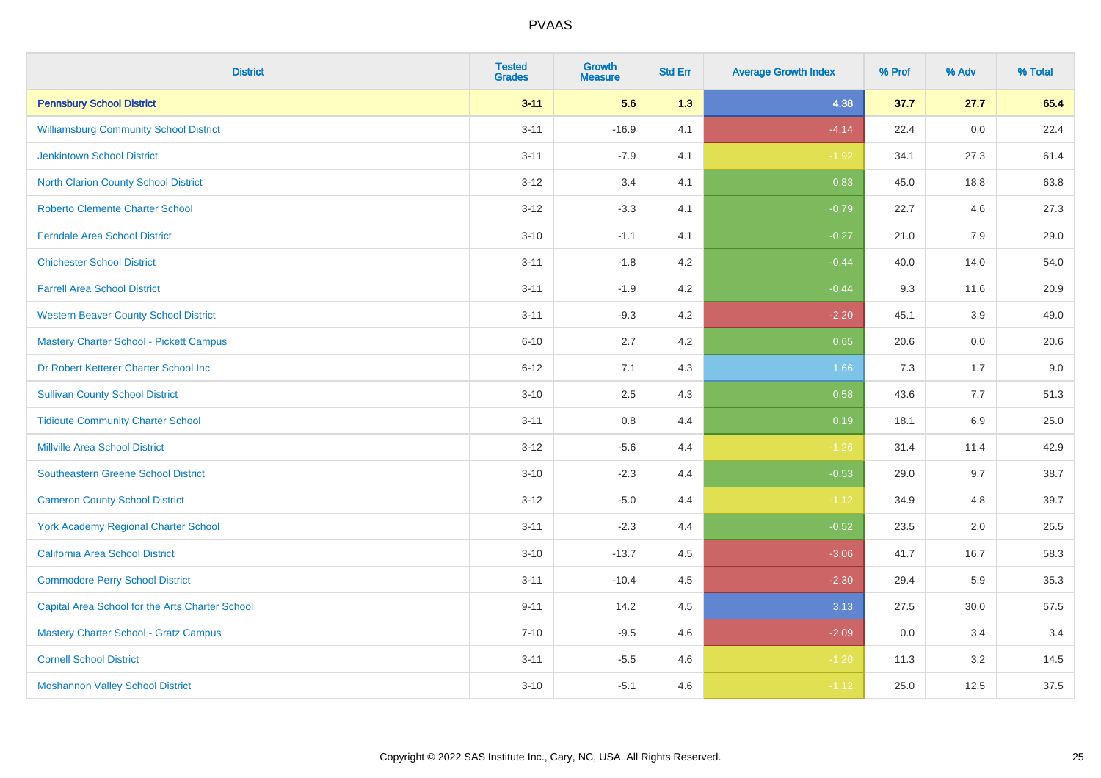| <b>District</b>                                 | <b>Tested</b><br><b>Grades</b> | <b>Growth</b><br><b>Measure</b> | <b>Std Err</b> | <b>Average Growth Index</b> | % Prof | % Adv | % Total |
|-------------------------------------------------|--------------------------------|---------------------------------|----------------|-----------------------------|--------|-------|---------|
| <b>Pennsbury School District</b>                | $3 - 11$                       | 5.6                             | 1.3            | 4.38                        | 37.7   | 27.7  | 65.4    |
| <b>Williamsburg Community School District</b>   | $3 - 11$                       | $-16.9$                         | 4.1            | $-4.14$                     | 22.4   | 0.0   | 22.4    |
| <b>Jenkintown School District</b>               | $3 - 11$                       | $-7.9$                          | 4.1            | $-1.92$                     | 34.1   | 27.3  | 61.4    |
| North Clarion County School District            | $3 - 12$                       | 3.4                             | 4.1            | 0.83                        | 45.0   | 18.8  | 63.8    |
| <b>Roberto Clemente Charter School</b>          | $3-12$                         | $-3.3$                          | 4.1            | $-0.79$                     | 22.7   | 4.6   | 27.3    |
| <b>Ferndale Area School District</b>            | $3 - 10$                       | $-1.1$                          | 4.1            | $-0.27$                     | 21.0   | 7.9   | 29.0    |
| <b>Chichester School District</b>               | $3 - 11$                       | $-1.8$                          | 4.2            | $-0.44$                     | 40.0   | 14.0  | 54.0    |
| <b>Farrell Area School District</b>             | $3 - 11$                       | $-1.9$                          | 4.2            | $-0.44$                     | 9.3    | 11.6  | 20.9    |
| <b>Western Beaver County School District</b>    | $3 - 11$                       | $-9.3$                          | 4.2            | $-2.20$                     | 45.1   | 3.9   | 49.0    |
| <b>Mastery Charter School - Pickett Campus</b>  | $6 - 10$                       | 2.7                             | 4.2            | 0.65                        | 20.6   | 0.0   | 20.6    |
| Dr Robert Ketterer Charter School Inc           | $6 - 12$                       | 7.1                             | 4.3            | 1.66                        | 7.3    | 1.7   | 9.0     |
| <b>Sullivan County School District</b>          | $3 - 10$                       | 2.5                             | 4.3            | 0.58                        | 43.6   | 7.7   | 51.3    |
| <b>Tidioute Community Charter School</b>        | $3 - 11$                       | 0.8                             | 4.4            | 0.19                        | 18.1   | 6.9   | 25.0    |
| <b>Millville Area School District</b>           | $3 - 12$                       | $-5.6$                          | 4.4            | $-1.26$                     | 31.4   | 11.4  | 42.9    |
| <b>Southeastern Greene School District</b>      | $3 - 10$                       | $-2.3$                          | 4.4            | $-0.53$                     | 29.0   | 9.7   | 38.7    |
| <b>Cameron County School District</b>           | $3 - 12$                       | $-5.0$                          | 4.4            | $-1.12$                     | 34.9   | 4.8   | 39.7    |
| <b>York Academy Regional Charter School</b>     | $3 - 11$                       | $-2.3$                          | 4.4            | $-0.52$                     | 23.5   | 2.0   | 25.5    |
| California Area School District                 | $3 - 10$                       | $-13.7$                         | 4.5            | $-3.06$                     | 41.7   | 16.7  | 58.3    |
| <b>Commodore Perry School District</b>          | $3 - 11$                       | $-10.4$                         | 4.5            | $-2.30$                     | 29.4   | 5.9   | 35.3    |
| Capital Area School for the Arts Charter School | $9 - 11$                       | 14.2                            | 4.5            | 3.13                        | 27.5   | 30.0  | 57.5    |
| <b>Mastery Charter School - Gratz Campus</b>    | $7 - 10$                       | $-9.5$                          | 4.6            | $-2.09$                     | 0.0    | 3.4   | 3.4     |
| <b>Cornell School District</b>                  | $3 - 11$                       | $-5.5$                          | 4.6            | $-1.20$                     | 11.3   | 3.2   | 14.5    |
| <b>Moshannon Valley School District</b>         | $3 - 10$                       | $-5.1$                          | 4.6            | $-1.12$                     | 25.0   | 12.5  | 37.5    |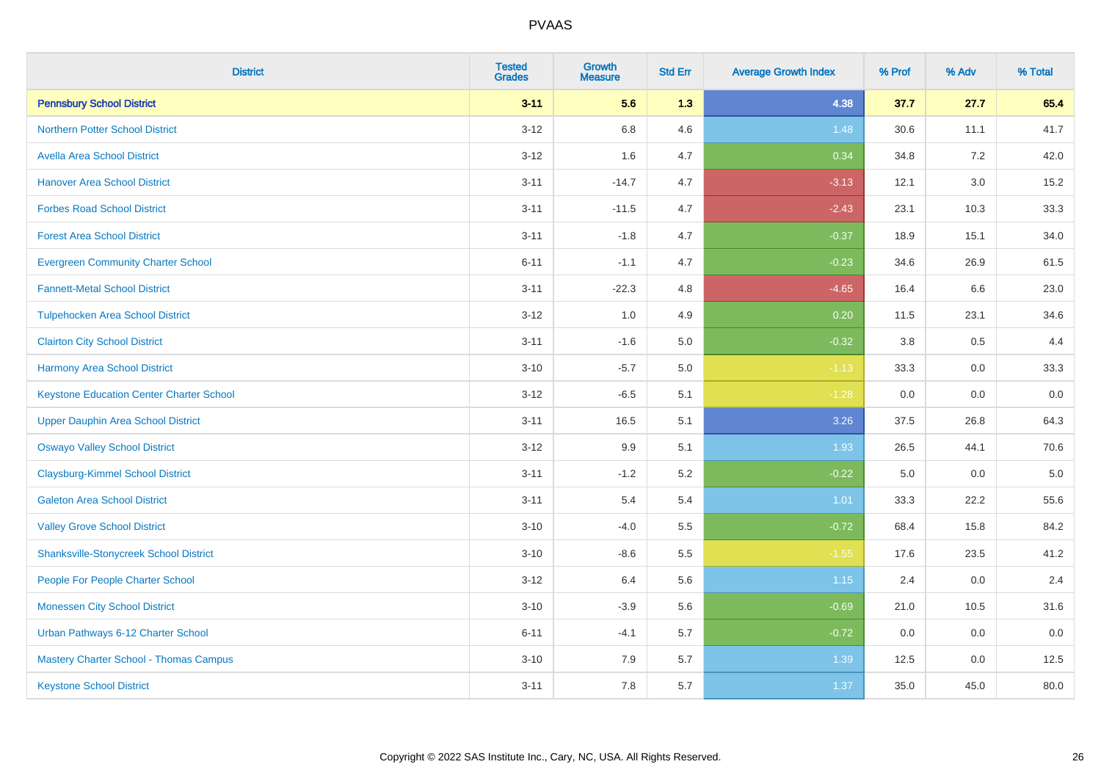| <b>District</b>                                 | <b>Tested</b><br><b>Grades</b> | <b>Growth</b><br><b>Measure</b> | <b>Std Err</b> | <b>Average Growth Index</b> | % Prof | % Adv   | % Total |
|-------------------------------------------------|--------------------------------|---------------------------------|----------------|-----------------------------|--------|---------|---------|
| <b>Pennsbury School District</b>                | $3 - 11$                       | 5.6                             | 1.3            | 4.38                        | 37.7   | 27.7    | 65.4    |
| <b>Northern Potter School District</b>          | $3-12$                         | 6.8                             | 4.6            | 1.48                        | 30.6   | 11.1    | 41.7    |
| <b>Avella Area School District</b>              | $3 - 12$                       | 1.6                             | 4.7            | 0.34                        | 34.8   | 7.2     | 42.0    |
| <b>Hanover Area School District</b>             | $3 - 11$                       | $-14.7$                         | 4.7            | $-3.13$                     | 12.1   | $3.0\,$ | 15.2    |
| <b>Forbes Road School District</b>              | $3 - 11$                       | $-11.5$                         | 4.7            | $-2.43$                     | 23.1   | 10.3    | 33.3    |
| <b>Forest Area School District</b>              | $3 - 11$                       | $-1.8$                          | 4.7            | $-0.37$                     | 18.9   | 15.1    | 34.0    |
| <b>Evergreen Community Charter School</b>       | $6 - 11$                       | $-1.1$                          | 4.7            | $-0.23$                     | 34.6   | 26.9    | 61.5    |
| <b>Fannett-Metal School District</b>            | $3 - 11$                       | $-22.3$                         | 4.8            | $-4.65$                     | 16.4   | 6.6     | 23.0    |
| <b>Tulpehocken Area School District</b>         | $3 - 12$                       | 1.0                             | 4.9            | 0.20                        | 11.5   | 23.1    | 34.6    |
| <b>Clairton City School District</b>            | $3 - 11$                       | $-1.6$                          | 5.0            | $-0.32$                     | 3.8    | 0.5     | 4.4     |
| <b>Harmony Area School District</b>             | $3 - 10$                       | $-5.7$                          | 5.0            | $-1.13$                     | 33.3   | 0.0     | 33.3    |
| <b>Keystone Education Center Charter School</b> | $3 - 12$                       | $-6.5$                          | 5.1            | $-1.28$                     | 0.0    | 0.0     | 0.0     |
| <b>Upper Dauphin Area School District</b>       | $3 - 11$                       | 16.5                            | 5.1            | 3.26                        | 37.5   | 26.8    | 64.3    |
| <b>Oswayo Valley School District</b>            | $3 - 12$                       | 9.9                             | 5.1            | 1.93                        | 26.5   | 44.1    | 70.6    |
| <b>Claysburg-Kimmel School District</b>         | $3 - 11$                       | $-1.2$                          | 5.2            | $-0.22$                     | 5.0    | 0.0     | $5.0$   |
| <b>Galeton Area School District</b>             | $3 - 11$                       | 5.4                             | 5.4            | 1.01                        | 33.3   | 22.2    | 55.6    |
| <b>Valley Grove School District</b>             | $3 - 10$                       | $-4.0$                          | 5.5            | $-0.72$                     | 68.4   | 15.8    | 84.2    |
| <b>Shanksville-Stonycreek School District</b>   | $3 - 10$                       | $-8.6$                          | 5.5            | $-1.55$                     | 17.6   | 23.5    | 41.2    |
| People For People Charter School                | $3 - 12$                       | 6.4                             | 5.6            | 1.15                        | 2.4    | 0.0     | 2.4     |
| <b>Monessen City School District</b>            | $3 - 10$                       | $-3.9$                          | 5.6            | $-0.69$                     | 21.0   | 10.5    | 31.6    |
| Urban Pathways 6-12 Charter School              | $6 - 11$                       | $-4.1$                          | 5.7            | $-0.72$                     | 0.0    | 0.0     | 0.0     |
| Mastery Charter School - Thomas Campus          | $3 - 10$                       | 7.9                             | 5.7            | 1.39                        | 12.5   | 0.0     | 12.5    |
| <b>Keystone School District</b>                 | $3 - 11$                       | 7.8                             | 5.7            | 1.37                        | 35.0   | 45.0    | 80.0    |